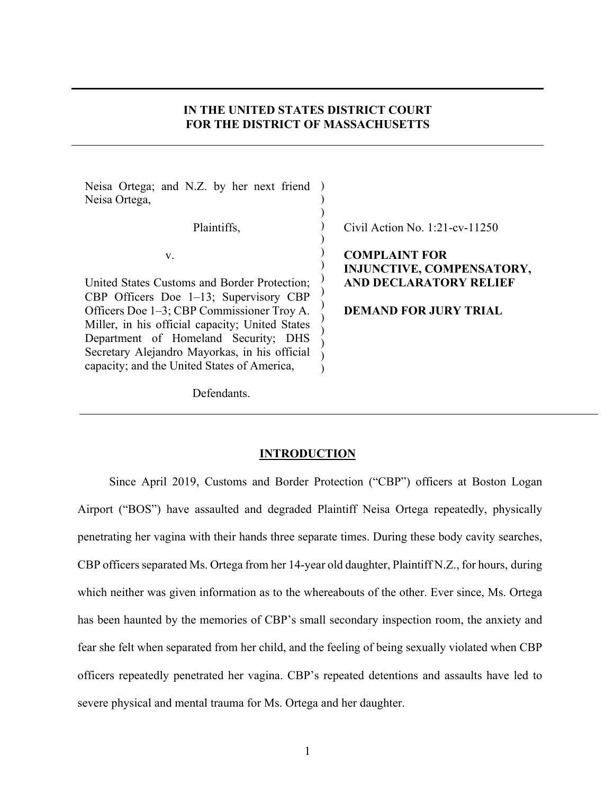## **IN THE UNITED STATES DISTRICT COURT FOR THE DISTRICT OF MASSACHUSETTS**

) ) ) ) ) ) ) ) ) ) ) ) )  $\lambda$ 

Neisa Ortega; and N.Z. by her next friend ) Neisa Ortega,

Plaintiffs,

v.

United States Customs and Border Protection; CBP Officers Doe 1–13; Supervisory CBP Officers Doe 1–3; CBP Commissioner Troy A. Miller, in his official capacity; United States Department of Homeland Security; DHS Secretary Alejandro Mayorkas, in his official capacity; and the United States of America,

Defendants.

Civil Action No. 1:21-cv-11250

**COMPLAINT FOR INJUNCTIVE, COMPENSATORY, AND DECLARATORY RELIEF**

**DEMAND FOR JURY TRIAL**

#### **INTRODUCTION**

Since April 2019, Customs and Border Protection ("CBP") officers at Boston Logan Airport ("BOS") have assaulted and degraded Plaintiff Neisa Ortega repeatedly, physically penetrating her vagina with their hands three separate times. During these body cavity searches, CBP officers separated Ms. Ortega from her 14-year old daughter, Plaintiff N.Z., for hours, during which neither was given information as to the whereabouts of the other. Ever since, Ms. Ortega has been haunted by the memories of CBP's small secondary inspection room, the anxiety and fear she felt when separated from her child, and the feeling of being sexually violated when CBP officers repeatedly penetrated her vagina. CBP's repeated detentions and assaults have led to severe physical and mental trauma for Ms. Ortega and her daughter.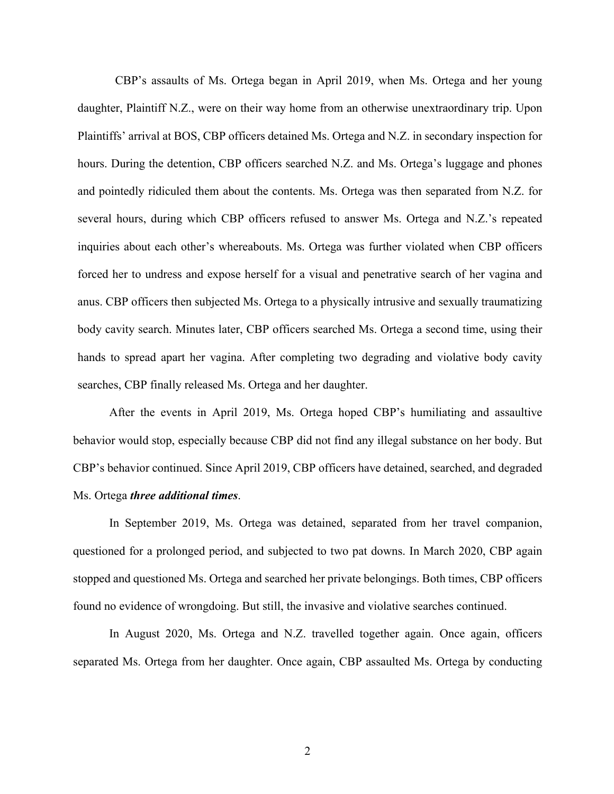CBP's assaults of Ms. Ortega began in April 2019, when Ms. Ortega and her young daughter, Plaintiff N.Z., were on their way home from an otherwise unextraordinary trip. Upon Plaintiffs' arrival at BOS, CBP officers detained Ms. Ortega and N.Z. in secondary inspection for hours. During the detention, CBP officers searched N.Z. and Ms. Ortega's luggage and phones and pointedly ridiculed them about the contents. Ms. Ortega was then separated from N.Z. for several hours, during which CBP officers refused to answer Ms. Ortega and N.Z.'s repeated inquiries about each other's whereabouts. Ms. Ortega was further violated when CBP officers forced her to undress and expose herself for a visual and penetrative search of her vagina and anus. CBP officers then subjected Ms. Ortega to a physically intrusive and sexually traumatizing body cavity search. Minutes later, CBP officers searched Ms. Ortega a second time, using their hands to spread apart her vagina. After completing two degrading and violative body cavity searches, CBP finally released Ms. Ortega and her daughter.

After the events in April 2019, Ms. Ortega hoped CBP's humiliating and assaultive behavior would stop, especially because CBP did not find any illegal substance on her body. But CBP's behavior continued. Since April 2019, CBP officers have detained, searched, and degraded Ms. Ortega *three additional times*.

In September 2019, Ms. Ortega was detained, separated from her travel companion, questioned for a prolonged period, and subjected to two pat downs. In March 2020, CBP again stopped and questioned Ms. Ortega and searched her private belongings. Both times, CBP officers found no evidence of wrongdoing. But still, the invasive and violative searches continued.

In August 2020, Ms. Ortega and N.Z. travelled together again. Once again, officers separated Ms. Ortega from her daughter. Once again, CBP assaulted Ms. Ortega by conducting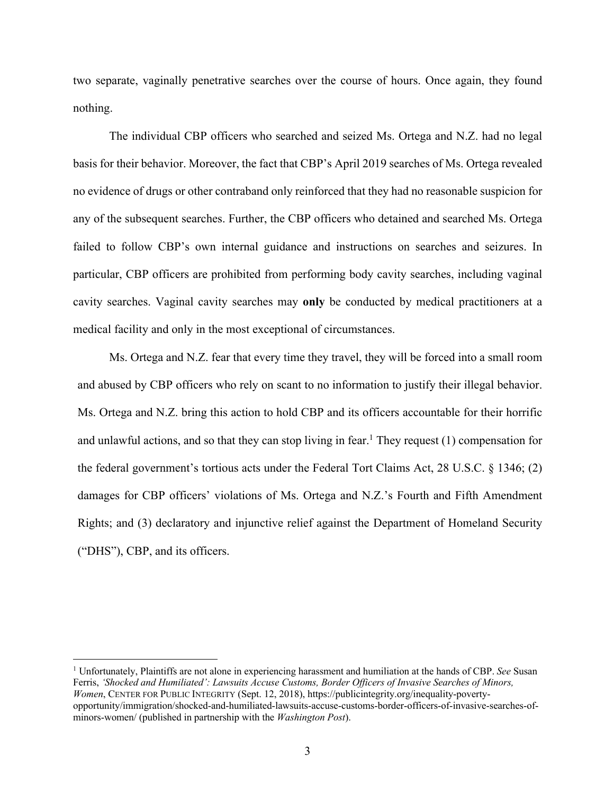two separate, vaginally penetrative searches over the course of hours. Once again, they found nothing.

The individual CBP officers who searched and seized Ms. Ortega and N.Z. had no legal basis for their behavior. Moreover, the fact that CBP's April 2019 searches of Ms. Ortega revealed no evidence of drugs or other contraband only reinforced that they had no reasonable suspicion for any of the subsequent searches. Further, the CBP officers who detained and searched Ms. Ortega failed to follow CBP's own internal guidance and instructions on searches and seizures. In particular, CBP officers are prohibited from performing body cavity searches, including vaginal cavity searches. Vaginal cavity searches may **only** be conducted by medical practitioners at a medical facility and only in the most exceptional of circumstances.

Ms. Ortega and N.Z. fear that every time they travel, they will be forced into a small room and abused by CBP officers who rely on scant to no information to justify their illegal behavior. Ms. Ortega and N.Z. bring this action to hold CBP and its officers accountable for their horrific and unlawful actions, and so that they can stop living in fear.<sup>1</sup> They request  $(1)$  compensation for the federal government's tortious acts under the Federal Tort Claims Act, 28 U.S.C. § 1346; (2) damages for CBP officers' violations of Ms. Ortega and N.Z.'s Fourth and Fifth Amendment Rights; and (3) declaratory and injunctive relief against the Department of Homeland Security ("DHS"), CBP, and its officers.

<sup>1</sup> Unfortunately, Plaintiffs are not alone in experiencing harassment and humiliation at the hands of CBP. *See* Susan Ferris, *'Shocked and Humiliated': Lawsuits Accuse Customs, Border Officers of Invasive Searches of Minors, Women*, CENTER FOR PUBLIC INTEGRITY (Sept. 12, 2018), https://publicintegrity.org/inequality-povertyopportunity/immigration/shocked-and-humiliated-lawsuits-accuse-customs-border-officers-of-invasive-searches-ofminors-women/ (published in partnership with the *Washington Post*).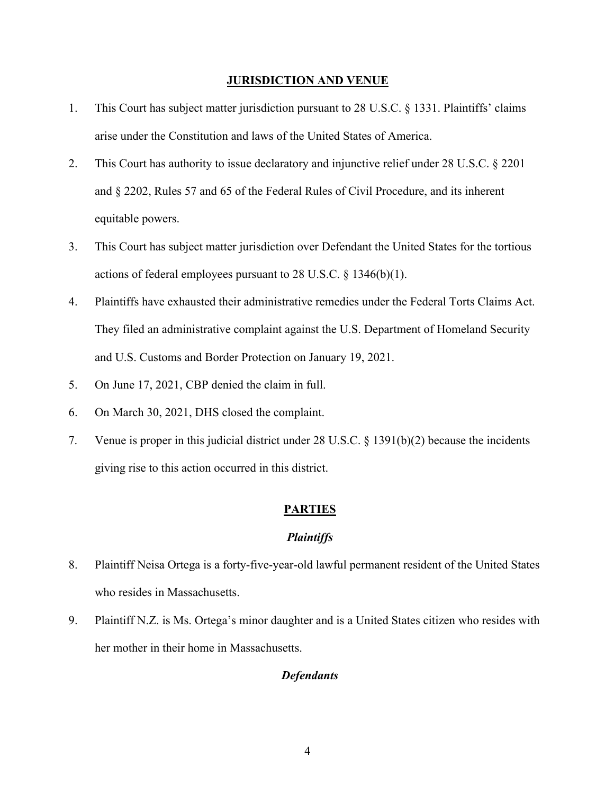#### **JURISDICTION AND VENUE**

- 1. This Court has subject matter jurisdiction pursuant to 28 U.S.C. § 1331. Plaintiffs' claims arise under the Constitution and laws of the United States of America.
- 2. This Court has authority to issue declaratory and injunctive relief under 28 U.S.C. § 2201 and § 2202, Rules 57 and 65 of the Federal Rules of Civil Procedure, and its inherent equitable powers.
- 3. This Court has subject matter jurisdiction over Defendant the United States for the tortious actions of federal employees pursuant to 28 U.S.C. § 1346(b)(1).
- 4. Plaintiffs have exhausted their administrative remedies under the Federal Torts Claims Act. They filed an administrative complaint against the U.S. Department of Homeland Security and U.S. Customs and Border Protection on January 19, 2021.
- 5. On June 17, 2021, CBP denied the claim in full.
- 6. On March 30, 2021, DHS closed the complaint.
- 7. Venue is proper in this judicial district under 28 U.S.C. § 1391(b)(2) because the incidents giving rise to this action occurred in this district.

#### **PARTIES**

#### *Plaintiffs*

- 8. Plaintiff Neisa Ortega is a forty-five-year-old lawful permanent resident of the United States who resides in Massachusetts.
- 9. Plaintiff N.Z. is Ms. Ortega's minor daughter and is a United States citizen who resides with her mother in their home in Massachusetts.

#### *Defendants*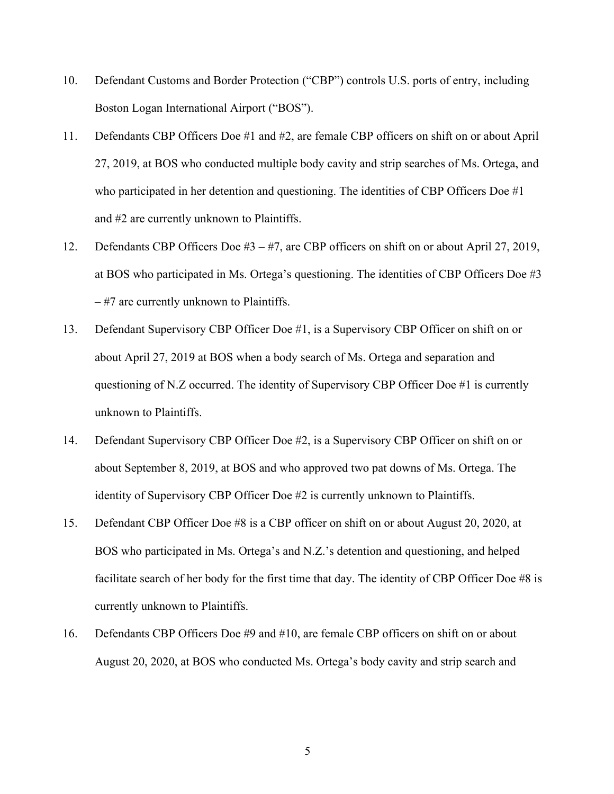- 10. Defendant Customs and Border Protection ("CBP") controls U.S. ports of entry, including Boston Logan International Airport ("BOS").
- 11. Defendants CBP Officers Doe #1 and #2, are female CBP officers on shift on or about April 27, 2019, at BOS who conducted multiple body cavity and strip searches of Ms. Ortega, and who participated in her detention and questioning. The identities of CBP Officers Doe #1 and #2 are currently unknown to Plaintiffs.
- 12. Defendants CBP Officers Doe #3 #7, are CBP officers on shift on or about April 27, 2019, at BOS who participated in Ms. Ortega's questioning. The identities of CBP Officers Doe #3 – #7 are currently unknown to Plaintiffs.
- 13. Defendant Supervisory CBP Officer Doe #1, is a Supervisory CBP Officer on shift on or about April 27, 2019 at BOS when a body search of Ms. Ortega and separation and questioning of N.Z occurred. The identity of Supervisory CBP Officer Doe #1 is currently unknown to Plaintiffs.
- 14. Defendant Supervisory CBP Officer Doe #2, is a Supervisory CBP Officer on shift on or about September 8, 2019, at BOS and who approved two pat downs of Ms. Ortega. The identity of Supervisory CBP Officer Doe #2 is currently unknown to Plaintiffs.
- 15. Defendant CBP Officer Doe #8 is a CBP officer on shift on or about August 20, 2020, at BOS who participated in Ms. Ortega's and N.Z.'s detention and questioning, and helped facilitate search of her body for the first time that day. The identity of CBP Officer Doe #8 is currently unknown to Plaintiffs.
- 16. Defendants CBP Officers Doe #9 and #10, are female CBP officers on shift on or about August 20, 2020, at BOS who conducted Ms. Ortega's body cavity and strip search and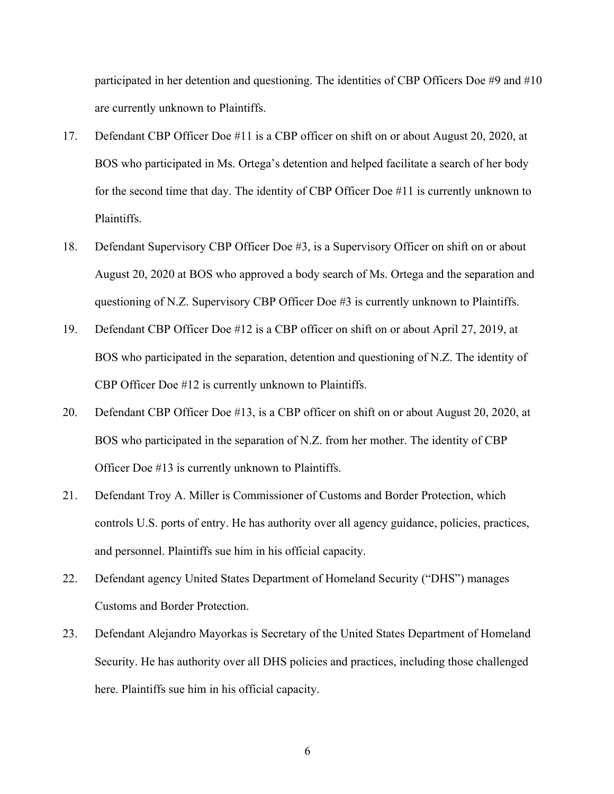participated in her detention and questioning. The identities of CBP Officers Doe #9 and #10 are currently unknown to Plaintiffs.

- 17. Defendant CBP Officer Doe #11 is a CBP officer on shift on or about August 20, 2020, at BOS who participated in Ms. Ortega's detention and helped facilitate a search of her body for the second time that day. The identity of CBP Officer Doe #11 is currently unknown to Plaintiffs.
- 18. Defendant Supervisory CBP Officer Doe #3, is a Supervisory Officer on shift on or about August 20, 2020 at BOS who approved a body search of Ms. Ortega and the separation and questioning of N.Z. Supervisory CBP Officer Doe #3 is currently unknown to Plaintiffs.
- 19. Defendant CBP Officer Doe #12 is a CBP officer on shift on or about April 27, 2019, at BOS who participated in the separation, detention and questioning of N.Z. The identity of CBP Officer Doe #12 is currently unknown to Plaintiffs.
- 20. Defendant CBP Officer Doe #13, is a CBP officer on shift on or about August 20, 2020, at BOS who participated in the separation of N.Z. from her mother. The identity of CBP Officer Doe #13 is currently unknown to Plaintiffs.
- 21. Defendant Troy A. Miller is Commissioner of Customs and Border Protection, which controls U.S. ports of entry. He has authority over all agency guidance, policies, practices, and personnel. Plaintiffs sue him in his official capacity.
- 22. Defendant agency United States Department of Homeland Security ("DHS") manages Customs and Border Protection.
- 23. Defendant Alejandro Mayorkas is Secretary of the United States Department of Homeland Security. He has authority over all DHS policies and practices, including those challenged here. Plaintiffs sue him in his official capacity.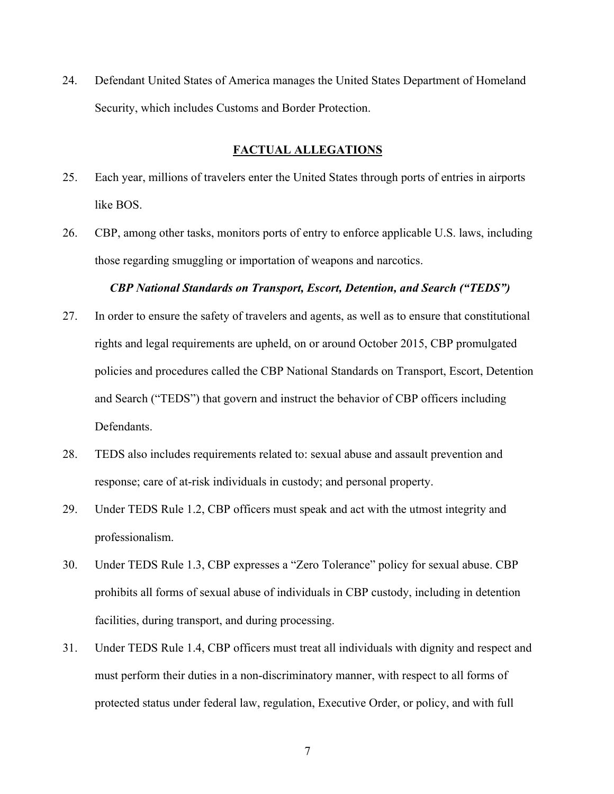24. Defendant United States of America manages the United States Department of Homeland Security, which includes Customs and Border Protection.

### **FACTUAL ALLEGATIONS**

- 25. Each year, millions of travelers enter the United States through ports of entries in airports like BOS.
- 26. CBP, among other tasks, monitors ports of entry to enforce applicable U.S. laws, including those regarding smuggling or importation of weapons and narcotics.

#### *CBP National Standards on Transport, Escort, Detention, and Search ("TEDS")*

- 27. In order to ensure the safety of travelers and agents, as well as to ensure that constitutional rights and legal requirements are upheld, on or around October 2015, CBP promulgated policies and procedures called the CBP National Standards on Transport, Escort, Detention and Search ("TEDS") that govern and instruct the behavior of CBP officers including Defendants.
- 28. TEDS also includes requirements related to: sexual abuse and assault prevention and response; care of at-risk individuals in custody; and personal property.
- 29. Under TEDS Rule 1.2, CBP officers must speak and act with the utmost integrity and professionalism.
- 30. Under TEDS Rule 1.3, CBP expresses a "Zero Tolerance" policy for sexual abuse. CBP prohibits all forms of sexual abuse of individuals in CBP custody, including in detention facilities, during transport, and during processing.
- 31. Under TEDS Rule 1.4, CBP officers must treat all individuals with dignity and respect and must perform their duties in a non-discriminatory manner, with respect to all forms of protected status under federal law, regulation, Executive Order, or policy, and with full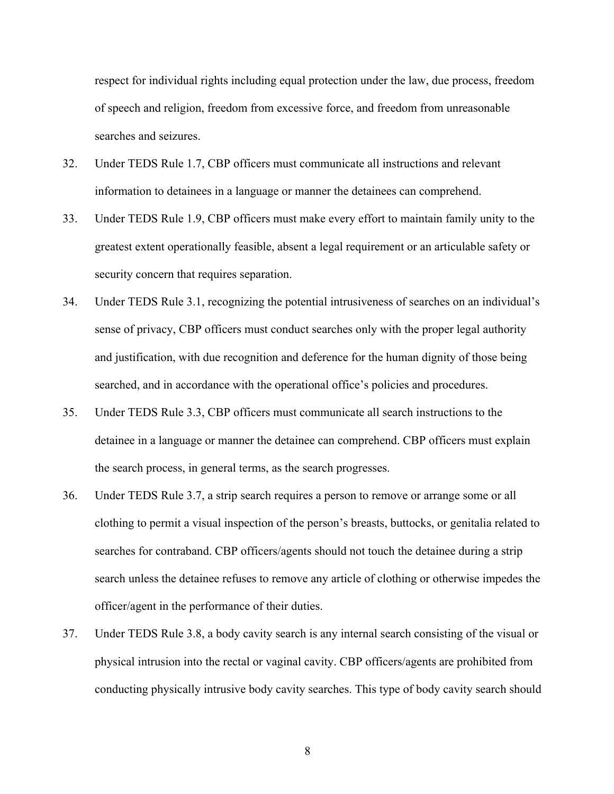respect for individual rights including equal protection under the law, due process, freedom of speech and religion, freedom from excessive force, and freedom from unreasonable searches and seizures.

- 32. Under TEDS Rule 1.7, CBP officers must communicate all instructions and relevant information to detainees in a language or manner the detainees can comprehend.
- 33. Under TEDS Rule 1.9, CBP officers must make every effort to maintain family unity to the greatest extent operationally feasible, absent a legal requirement or an articulable safety or security concern that requires separation.
- 34. Under TEDS Rule 3.1, recognizing the potential intrusiveness of searches on an individual's sense of privacy, CBP officers must conduct searches only with the proper legal authority and justification, with due recognition and deference for the human dignity of those being searched, and in accordance with the operational office's policies and procedures.
- 35. Under TEDS Rule 3.3, CBP officers must communicate all search instructions to the detainee in a language or manner the detainee can comprehend. CBP officers must explain the search process, in general terms, as the search progresses.
- 36. Under TEDS Rule 3.7, a strip search requires a person to remove or arrange some or all clothing to permit a visual inspection of the person's breasts, buttocks, or genitalia related to searches for contraband. CBP officers/agents should not touch the detainee during a strip search unless the detainee refuses to remove any article of clothing or otherwise impedes the officer/agent in the performance of their duties.
- 37. Under TEDS Rule 3.8, a body cavity search is any internal search consisting of the visual or physical intrusion into the rectal or vaginal cavity. CBP officers/agents are prohibited from conducting physically intrusive body cavity searches. This type of body cavity search should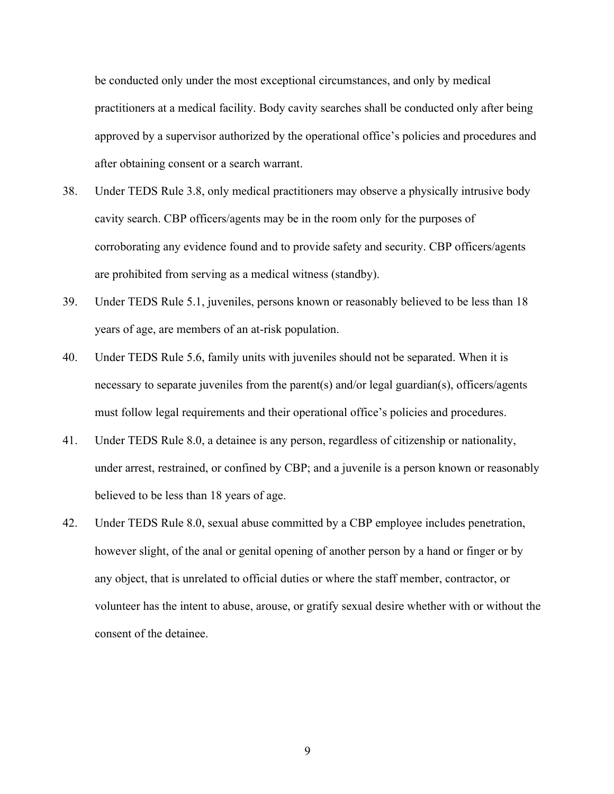be conducted only under the most exceptional circumstances, and only by medical practitioners at a medical facility. Body cavity searches shall be conducted only after being approved by a supervisor authorized by the operational office's policies and procedures and after obtaining consent or a search warrant.

- 38. Under TEDS Rule 3.8, only medical practitioners may observe a physically intrusive body cavity search. CBP officers/agents may be in the room only for the purposes of corroborating any evidence found and to provide safety and security. CBP officers/agents are prohibited from serving as a medical witness (standby).
- 39. Under TEDS Rule 5.1, juveniles, persons known or reasonably believed to be less than 18 years of age, are members of an at-risk population.
- 40. Under TEDS Rule 5.6, family units with juveniles should not be separated. When it is necessary to separate juveniles from the parent(s) and/or legal guardian(s), officers/agents must follow legal requirements and their operational office's policies and procedures.
- 41. Under TEDS Rule 8.0, a detainee is any person, regardless of citizenship or nationality, under arrest, restrained, or confined by CBP; and a juvenile is a person known or reasonably believed to be less than 18 years of age.
- 42. Under TEDS Rule 8.0, sexual abuse committed by a CBP employee includes penetration, however slight, of the anal or genital opening of another person by a hand or finger or by any object, that is unrelated to official duties or where the staff member, contractor, or volunteer has the intent to abuse, arouse, or gratify sexual desire whether with or without the consent of the detainee.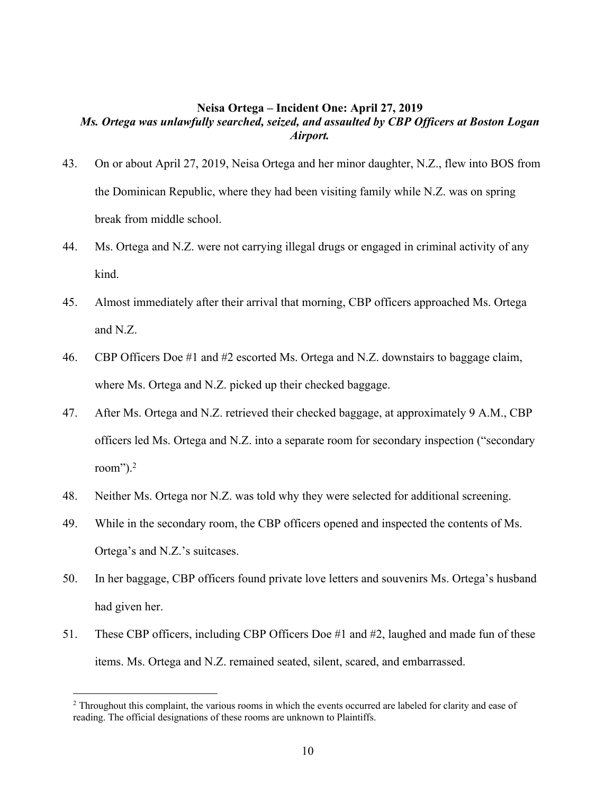### **Neisa Ortega – Incident One: April 27, 2019** *Ms. Ortega was unlawfully searched, seized, and assaulted by CBP Officers at Boston Logan Airport.*

- 43. On or about April 27, 2019, Neisa Ortega and her minor daughter, N.Z., flew into BOS from the Dominican Republic, where they had been visiting family while N.Z. was on spring break from middle school.
- 44. Ms. Ortega and N.Z. were not carrying illegal drugs or engaged in criminal activity of any kind.
- 45. Almost immediately after their arrival that morning, CBP officers approached Ms. Ortega and N.Z.
- 46. CBP Officers Doe #1 and #2 escorted Ms. Ortega and N.Z. downstairs to baggage claim, where Ms. Ortega and N.Z. picked up their checked baggage.
- 47. After Ms. Ortega and N.Z. retrieved their checked baggage, at approximately 9 A.M., CBP officers led Ms. Ortega and N.Z. into a separate room for secondary inspection ("secondary room"). 2
- 48. Neither Ms. Ortega nor N.Z. was told why they were selected for additional screening.
- 49. While in the secondary room, the CBP officers opened and inspected the contents of Ms. Ortega's and N.Z.'s suitcases.
- 50. In her baggage, CBP officers found private love letters and souvenirs Ms. Ortega's husband had given her.
- 51. These CBP officers, including CBP Officers Doe #1 and #2, laughed and made fun of these items. Ms. Ortega and N.Z. remained seated, silent, scared, and embarrassed.

<sup>&</sup>lt;sup>2</sup> Throughout this complaint, the various rooms in which the events occurred are labeled for clarity and ease of reading. The official designations of these rooms are unknown to Plaintiffs.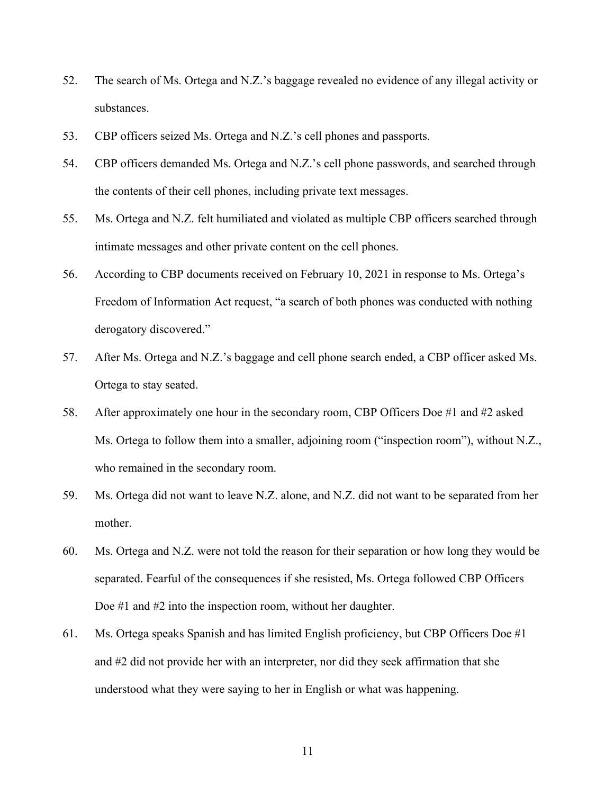- 52. The search of Ms. Ortega and N.Z.'s baggage revealed no evidence of any illegal activity or substances.
- 53. CBP officers seized Ms. Ortega and N.Z.'s cell phones and passports.
- 54. CBP officers demanded Ms. Ortega and N.Z.'s cell phone passwords, and searched through the contents of their cell phones, including private text messages.
- 55. Ms. Ortega and N.Z. felt humiliated and violated as multiple CBP officers searched through intimate messages and other private content on the cell phones.
- 56. According to CBP documents received on February 10, 2021 in response to Ms. Ortega's Freedom of Information Act request, "a search of both phones was conducted with nothing derogatory discovered."
- 57. After Ms. Ortega and N.Z.'s baggage and cell phone search ended, a CBP officer asked Ms. Ortega to stay seated.
- 58. After approximately one hour in the secondary room, CBP Officers Doe #1 and #2 asked Ms. Ortega to follow them into a smaller, adjoining room ("inspection room"), without N.Z., who remained in the secondary room.
- 59. Ms. Ortega did not want to leave N.Z. alone, and N.Z. did not want to be separated from her mother.
- 60. Ms. Ortega and N.Z. were not told the reason for their separation or how long they would be separated. Fearful of the consequences if she resisted, Ms. Ortega followed CBP Officers Doe #1 and #2 into the inspection room, without her daughter.
- 61. Ms. Ortega speaks Spanish and has limited English proficiency, but CBP Officers Doe #1 and #2 did not provide her with an interpreter, nor did they seek affirmation that she understood what they were saying to her in English or what was happening.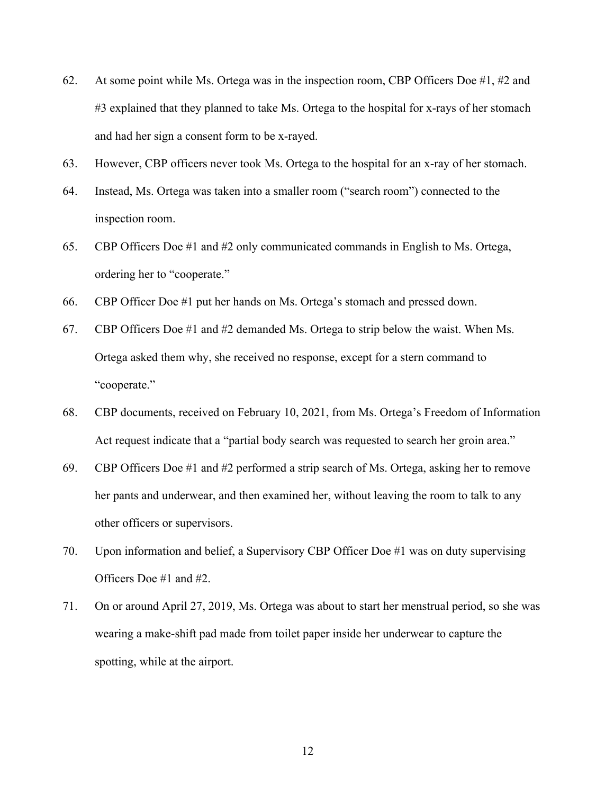- 62. At some point while Ms. Ortega was in the inspection room, CBP Officers Doe #1, #2 and #3 explained that they planned to take Ms. Ortega to the hospital for x-rays of her stomach and had her sign a consent form to be x-rayed.
- 63. However, CBP officers never took Ms. Ortega to the hospital for an x-ray of her stomach.
- 64. Instead, Ms. Ortega was taken into a smaller room ("search room") connected to the inspection room.
- 65. CBP Officers Doe #1 and #2 only communicated commands in English to Ms. Ortega, ordering her to "cooperate."
- 66. CBP Officer Doe #1 put her hands on Ms. Ortega's stomach and pressed down.
- 67. CBP Officers Doe #1 and #2 demanded Ms. Ortega to strip below the waist. When Ms. Ortega asked them why, she received no response, except for a stern command to "cooperate."
- 68. CBP documents, received on February 10, 2021, from Ms. Ortega's Freedom of Information Act request indicate that a "partial body search was requested to search her groin area."
- 69. CBP Officers Doe #1 and #2 performed a strip search of Ms. Ortega, asking her to remove her pants and underwear, and then examined her, without leaving the room to talk to any other officers or supervisors.
- 70. Upon information and belief, a Supervisory CBP Officer Doe #1 was on duty supervising Officers Doe #1 and #2.
- 71. On or around April 27, 2019, Ms. Ortega was about to start her menstrual period, so she was wearing a make-shift pad made from toilet paper inside her underwear to capture the spotting, while at the airport.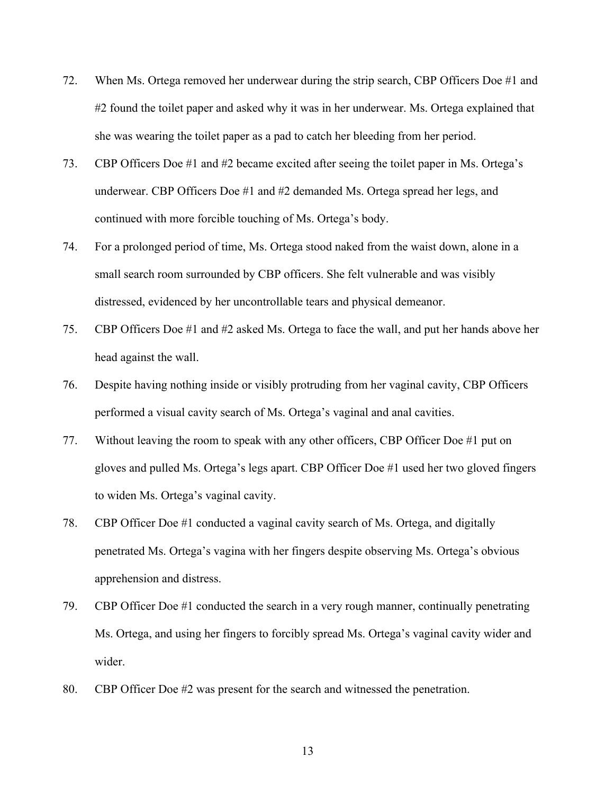- 72. When Ms. Ortega removed her underwear during the strip search, CBP Officers Doe #1 and #2 found the toilet paper and asked why it was in her underwear. Ms. Ortega explained that she was wearing the toilet paper as a pad to catch her bleeding from her period.
- 73. CBP Officers Doe #1 and #2 became excited after seeing the toilet paper in Ms. Ortega's underwear. CBP Officers Doe #1 and #2 demanded Ms. Ortega spread her legs, and continued with more forcible touching of Ms. Ortega's body.
- 74. For a prolonged period of time, Ms. Ortega stood naked from the waist down, alone in a small search room surrounded by CBP officers. She felt vulnerable and was visibly distressed, evidenced by her uncontrollable tears and physical demeanor.
- 75. CBP Officers Doe #1 and #2 asked Ms. Ortega to face the wall, and put her hands above her head against the wall.
- 76. Despite having nothing inside or visibly protruding from her vaginal cavity, CBP Officers performed a visual cavity search of Ms. Ortega's vaginal and anal cavities.
- 77. Without leaving the room to speak with any other officers, CBP Officer Doe #1 put on gloves and pulled Ms. Ortega's legs apart. CBP Officer Doe #1 used her two gloved fingers to widen Ms. Ortega's vaginal cavity.
- 78. CBP Officer Doe #1 conducted a vaginal cavity search of Ms. Ortega, and digitally penetrated Ms. Ortega's vagina with her fingers despite observing Ms. Ortega's obvious apprehension and distress.
- 79. CBP Officer Doe #1 conducted the search in a very rough manner, continually penetrating Ms. Ortega, and using her fingers to forcibly spread Ms. Ortega's vaginal cavity wider and wider.
- 80. CBP Officer Doe #2 was present for the search and witnessed the penetration.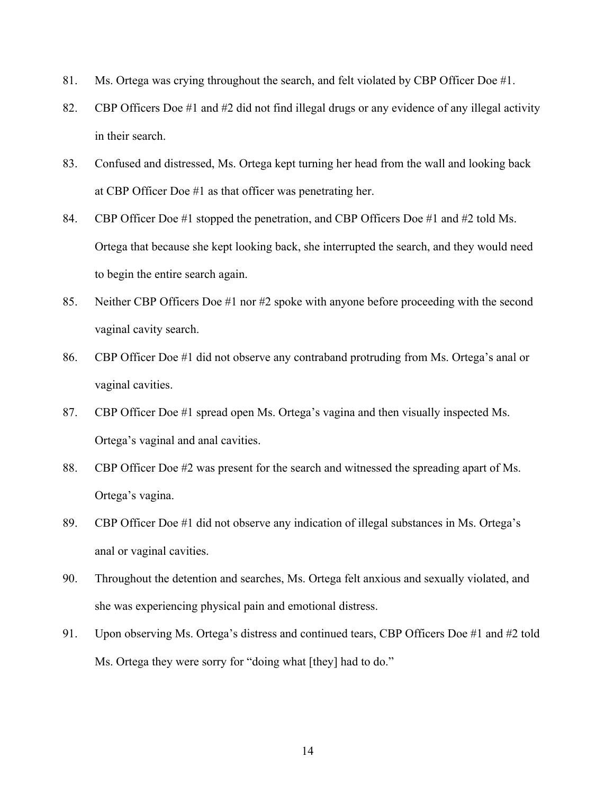- 81. Ms. Ortega was crying throughout the search, and felt violated by CBP Officer Doe #1.
- 82. CBP Officers Doe #1 and #2 did not find illegal drugs or any evidence of any illegal activity in their search.
- 83. Confused and distressed, Ms. Ortega kept turning her head from the wall and looking back at CBP Officer Doe #1 as that officer was penetrating her.
- 84. CBP Officer Doe #1 stopped the penetration, and CBP Officers Doe #1 and #2 told Ms. Ortega that because she kept looking back, she interrupted the search, and they would need to begin the entire search again.
- 85. Neither CBP Officers Doe #1 nor #2 spoke with anyone before proceeding with the second vaginal cavity search.
- 86. CBP Officer Doe #1 did not observe any contraband protruding from Ms. Ortega's anal or vaginal cavities.
- 87. CBP Officer Doe #1 spread open Ms. Ortega's vagina and then visually inspected Ms. Ortega's vaginal and anal cavities.
- 88. CBP Officer Doe #2 was present for the search and witnessed the spreading apart of Ms. Ortega's vagina.
- 89. CBP Officer Doe #1 did not observe any indication of illegal substances in Ms. Ortega's anal or vaginal cavities.
- 90. Throughout the detention and searches, Ms. Ortega felt anxious and sexually violated, and she was experiencing physical pain and emotional distress.
- 91. Upon observing Ms. Ortega's distress and continued tears, CBP Officers Doe #1 and #2 told Ms. Ortega they were sorry for "doing what [they] had to do."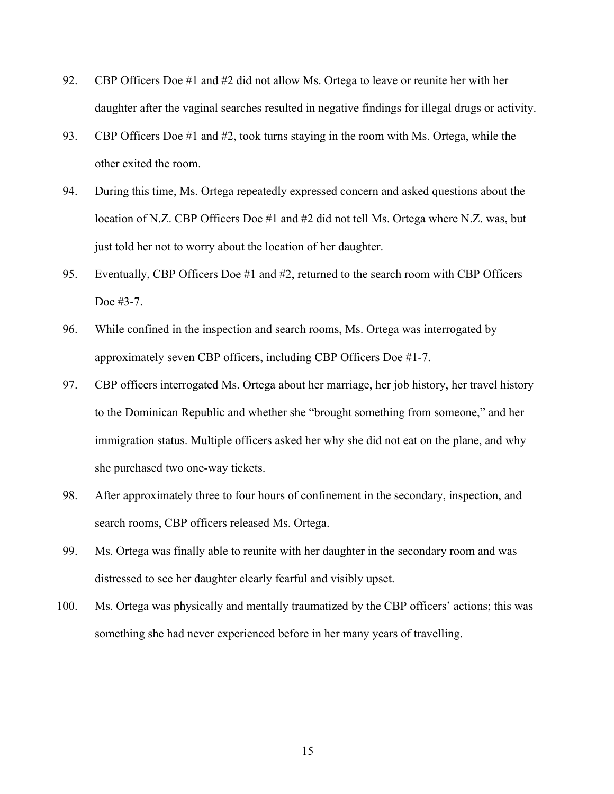- 92. CBP Officers Doe #1 and #2 did not allow Ms. Ortega to leave or reunite her with her daughter after the vaginal searches resulted in negative findings for illegal drugs or activity.
- 93. CBP Officers Doe #1 and #2, took turns staying in the room with Ms. Ortega, while the other exited the room.
- 94. During this time, Ms. Ortega repeatedly expressed concern and asked questions about the location of N.Z. CBP Officers Doe #1 and #2 did not tell Ms. Ortega where N.Z. was, but just told her not to worry about the location of her daughter.
- 95. Eventually, CBP Officers Doe #1 and #2, returned to the search room with CBP Officers Doe #3-7.
- 96. While confined in the inspection and search rooms, Ms. Ortega was interrogated by approximately seven CBP officers, including CBP Officers Doe #1-7.
- 97. CBP officers interrogated Ms. Ortega about her marriage, her job history, her travel history to the Dominican Republic and whether she "brought something from someone," and her immigration status. Multiple officers asked her why she did not eat on the plane, and why she purchased two one-way tickets.
- 98. After approximately three to four hours of confinement in the secondary, inspection, and search rooms, CBP officers released Ms. Ortega.
- 99. Ms. Ortega was finally able to reunite with her daughter in the secondary room and was distressed to see her daughter clearly fearful and visibly upset.
- 100. Ms. Ortega was physically and mentally traumatized by the CBP officers' actions; this was something she had never experienced before in her many years of travelling.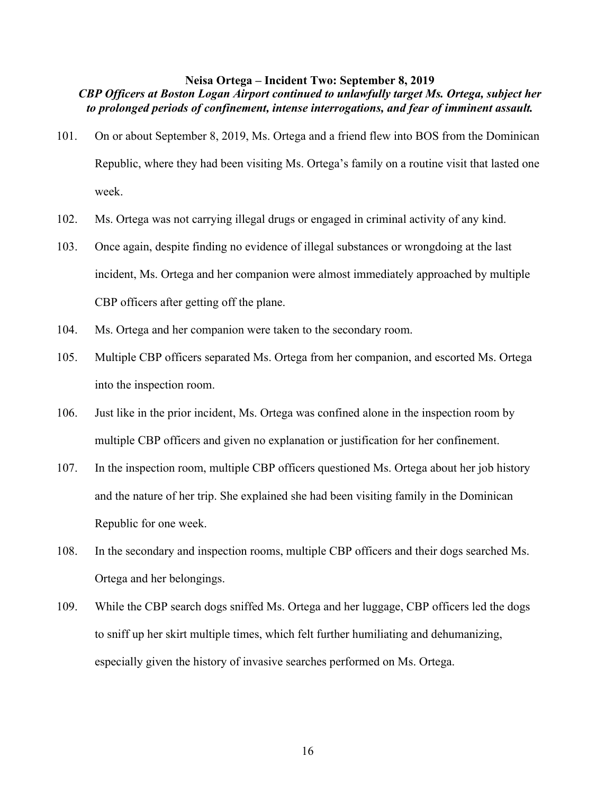#### **Neisa Ortega – Incident Two: September 8, 2019**

## *CBP Officers at Boston Logan Airport continued to unlawfully target Ms. Ortega, subject her to prolonged periods of confinement, intense interrogations, and fear of imminent assault.*

- 101. On or about September 8, 2019, Ms. Ortega and a friend flew into BOS from the Dominican Republic, where they had been visiting Ms. Ortega's family on a routine visit that lasted one week.
- 102. Ms. Ortega was not carrying illegal drugs or engaged in criminal activity of any kind.
- 103. Once again, despite finding no evidence of illegal substances or wrongdoing at the last incident, Ms. Ortega and her companion were almost immediately approached by multiple CBP officers after getting off the plane.
- 104. Ms. Ortega and her companion were taken to the secondary room.
- 105. Multiple CBP officers separated Ms. Ortega from her companion, and escorted Ms. Ortega into the inspection room.
- 106. Just like in the prior incident, Ms. Ortega was confined alone in the inspection room by multiple CBP officers and given no explanation or justification for her confinement.
- 107. In the inspection room, multiple CBP officers questioned Ms. Ortega about her job history and the nature of her trip. She explained she had been visiting family in the Dominican Republic for one week.
- 108. In the secondary and inspection rooms, multiple CBP officers and their dogs searched Ms. Ortega and her belongings.
- 109. While the CBP search dogs sniffed Ms. Ortega and her luggage, CBP officers led the dogs to sniff up her skirt multiple times, which felt further humiliating and dehumanizing, especially given the history of invasive searches performed on Ms. Ortega.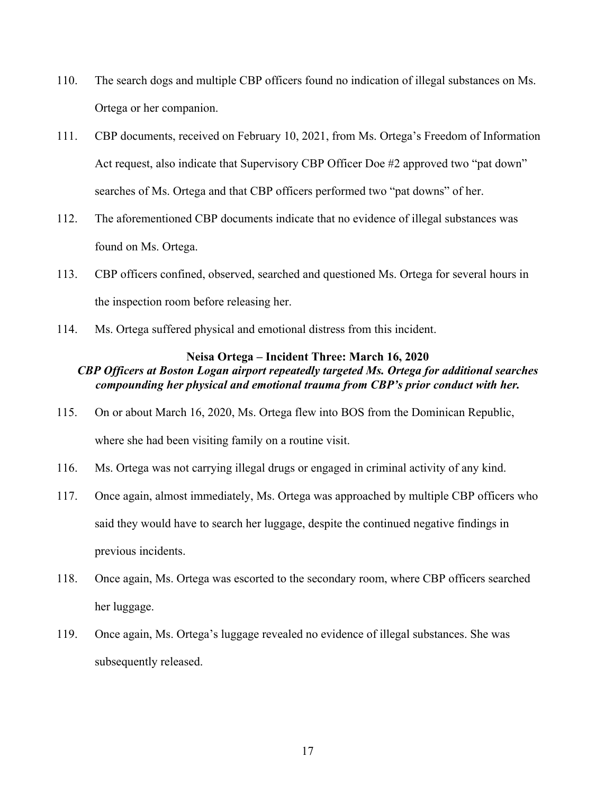- 110. The search dogs and multiple CBP officers found no indication of illegal substances on Ms. Ortega or her companion.
- 111. CBP documents, received on February 10, 2021, from Ms. Ortega's Freedom of Information Act request, also indicate that Supervisory CBP Officer Doe #2 approved two "pat down" searches of Ms. Ortega and that CBP officers performed two "pat downs" of her.
- 112. The aforementioned CBP documents indicate that no evidence of illegal substances was found on Ms. Ortega.
- 113. CBP officers confined, observed, searched and questioned Ms. Ortega for several hours in the inspection room before releasing her.
- 114. Ms. Ortega suffered physical and emotional distress from this incident.

#### **Neisa Ortega – Incident Three: March 16, 2020**

# *CBP Officers at Boston Logan airport repeatedly targeted Ms. Ortega for additional searches compounding her physical and emotional trauma from CBP's prior conduct with her.*

- 115. On or about March 16, 2020, Ms. Ortega flew into BOS from the Dominican Republic, where she had been visiting family on a routine visit.
- 116. Ms. Ortega was not carrying illegal drugs or engaged in criminal activity of any kind.
- 117. Once again, almost immediately, Ms. Ortega was approached by multiple CBP officers who said they would have to search her luggage, despite the continued negative findings in previous incidents.
- 118. Once again, Ms. Ortega was escorted to the secondary room, where CBP officers searched her luggage.
- 119. Once again, Ms. Ortega's luggage revealed no evidence of illegal substances. She was subsequently released.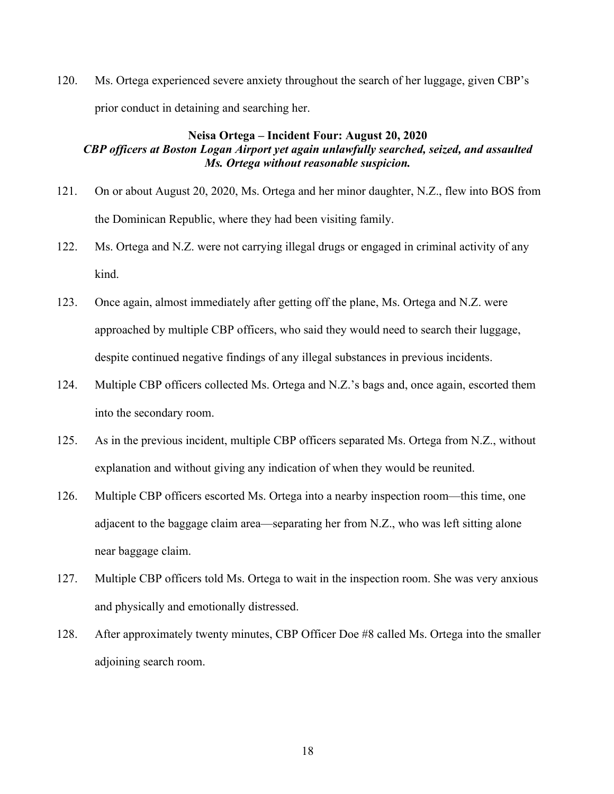120. Ms. Ortega experienced severe anxiety throughout the search of her luggage, given CBP's prior conduct in detaining and searching her.

#### **Neisa Ortega – Incident Four: August 20, 2020** *CBP officers at Boston Logan Airport yet again unlawfully searched, seized, and assaulted Ms. Ortega without reasonable suspicion.*

- 121. On or about August 20, 2020, Ms. Ortega and her minor daughter, N.Z., flew into BOS from the Dominican Republic, where they had been visiting family.
- 122. Ms. Ortega and N.Z. were not carrying illegal drugs or engaged in criminal activity of any kind.
- 123. Once again, almost immediately after getting off the plane, Ms. Ortega and N.Z. were approached by multiple CBP officers, who said they would need to search their luggage, despite continued negative findings of any illegal substances in previous incidents.
- 124. Multiple CBP officers collected Ms. Ortega and N.Z.'s bags and, once again, escorted them into the secondary room.
- 125. As in the previous incident, multiple CBP officers separated Ms. Ortega from N.Z., without explanation and without giving any indication of when they would be reunited.
- 126. Multiple CBP officers escorted Ms. Ortega into a nearby inspection room—this time, one adjacent to the baggage claim area—separating her from N.Z., who was left sitting alone near baggage claim.
- 127. Multiple CBP officers told Ms. Ortega to wait in the inspection room. She was very anxious and physically and emotionally distressed.
- 128. After approximately twenty minutes, CBP Officer Doe #8 called Ms. Ortega into the smaller adjoining search room.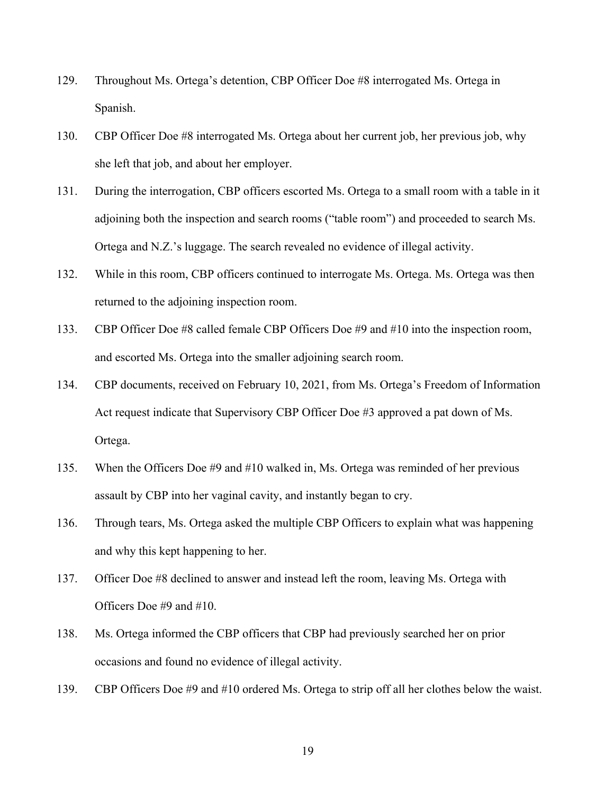- 129. Throughout Ms. Ortega's detention, CBP Officer Doe #8 interrogated Ms. Ortega in Spanish.
- 130. CBP Officer Doe #8 interrogated Ms. Ortega about her current job, her previous job, why she left that job, and about her employer.
- 131. During the interrogation, CBP officers escorted Ms. Ortega to a small room with a table in it adjoining both the inspection and search rooms ("table room") and proceeded to search Ms. Ortega and N.Z.'s luggage. The search revealed no evidence of illegal activity.
- 132. While in this room, CBP officers continued to interrogate Ms. Ortega. Ms. Ortega was then returned to the adjoining inspection room.
- 133. CBP Officer Doe #8 called female CBP Officers Doe #9 and #10 into the inspection room, and escorted Ms. Ortega into the smaller adjoining search room.
- 134. CBP documents, received on February 10, 2021, from Ms. Ortega's Freedom of Information Act request indicate that Supervisory CBP Officer Doe #3 approved a pat down of Ms. Ortega.
- 135. When the Officers Doe #9 and #10 walked in, Ms. Ortega was reminded of her previous assault by CBP into her vaginal cavity, and instantly began to cry.
- 136. Through tears, Ms. Ortega asked the multiple CBP Officers to explain what was happening and why this kept happening to her.
- 137. Officer Doe #8 declined to answer and instead left the room, leaving Ms. Ortega with Officers Doe #9 and #10.
- 138. Ms. Ortega informed the CBP officers that CBP had previously searched her on prior occasions and found no evidence of illegal activity.
- 139. CBP Officers Doe #9 and #10 ordered Ms. Ortega to strip off all her clothes below the waist.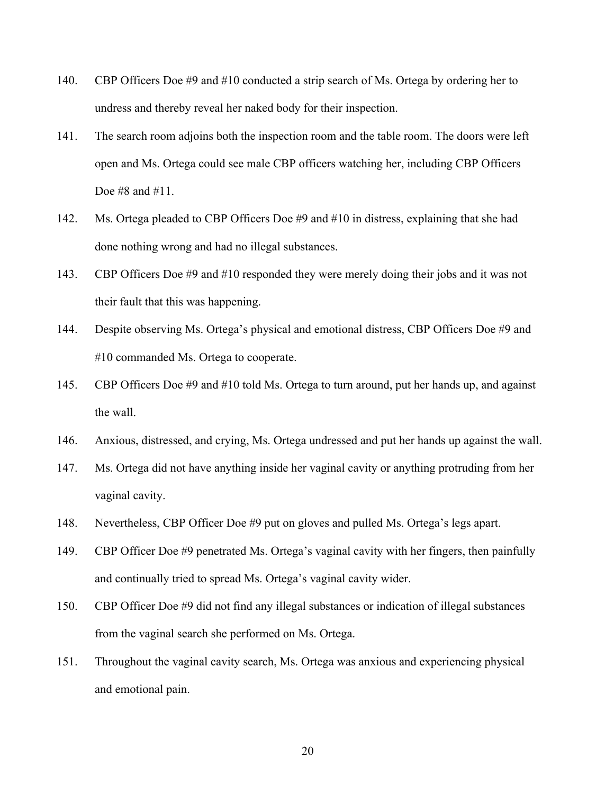- 140. CBP Officers Doe #9 and #10 conducted a strip search of Ms. Ortega by ordering her to undress and thereby reveal her naked body for their inspection.
- 141. The search room adjoins both the inspection room and the table room. The doors were left open and Ms. Ortega could see male CBP officers watching her, including CBP Officers Doe #8 and #11.
- 142. Ms. Ortega pleaded to CBP Officers Doe #9 and #10 in distress, explaining that she had done nothing wrong and had no illegal substances.
- 143. CBP Officers Doe #9 and #10 responded they were merely doing their jobs and it was not their fault that this was happening.
- 144. Despite observing Ms. Ortega's physical and emotional distress, CBP Officers Doe #9 and #10 commanded Ms. Ortega to cooperate.
- 145. CBP Officers Doe #9 and #10 told Ms. Ortega to turn around, put her hands up, and against the wall.
- 146. Anxious, distressed, and crying, Ms. Ortega undressed and put her hands up against the wall.
- 147. Ms. Ortega did not have anything inside her vaginal cavity or anything protruding from her vaginal cavity.
- 148. Nevertheless, CBP Officer Doe #9 put on gloves and pulled Ms. Ortega's legs apart.
- 149. CBP Officer Doe #9 penetrated Ms. Ortega's vaginal cavity with her fingers, then painfully and continually tried to spread Ms. Ortega's vaginal cavity wider.
- 150. CBP Officer Doe #9 did not find any illegal substances or indication of illegal substances from the vaginal search she performed on Ms. Ortega.
- 151. Throughout the vaginal cavity search, Ms. Ortega was anxious and experiencing physical and emotional pain.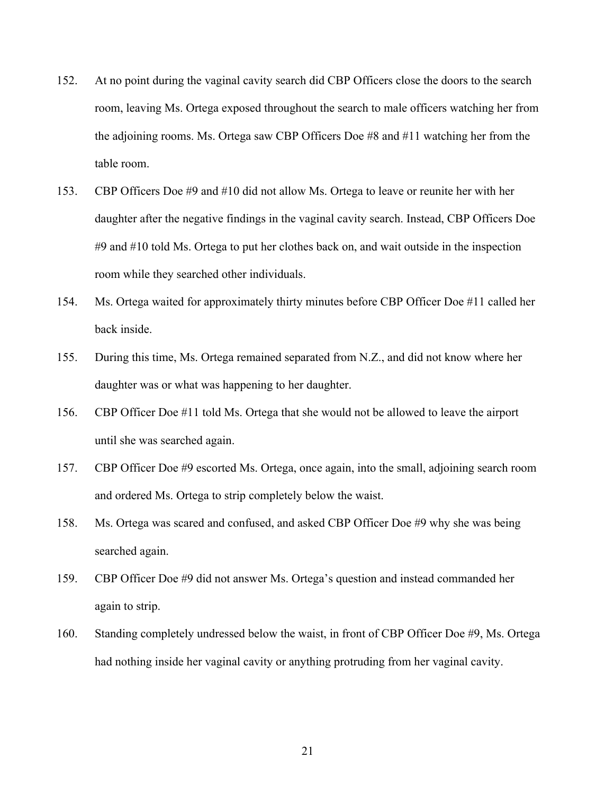- 152. At no point during the vaginal cavity search did CBP Officers close the doors to the search room, leaving Ms. Ortega exposed throughout the search to male officers watching her from the adjoining rooms. Ms. Ortega saw CBP Officers Doe #8 and #11 watching her from the table room.
- 153. CBP Officers Doe #9 and #10 did not allow Ms. Ortega to leave or reunite her with her daughter after the negative findings in the vaginal cavity search. Instead, CBP Officers Doe #9 and #10 told Ms. Ortega to put her clothes back on, and wait outside in the inspection room while they searched other individuals.
- 154. Ms. Ortega waited for approximately thirty minutes before CBP Officer Doe #11 called her back inside.
- 155. During this time, Ms. Ortega remained separated from N.Z., and did not know where her daughter was or what was happening to her daughter.
- 156. CBP Officer Doe #11 told Ms. Ortega that she would not be allowed to leave the airport until she was searched again.
- 157. CBP Officer Doe #9 escorted Ms. Ortega, once again, into the small, adjoining search room and ordered Ms. Ortega to strip completely below the waist.
- 158. Ms. Ortega was scared and confused, and asked CBP Officer Doe #9 why she was being searched again.
- 159. CBP Officer Doe #9 did not answer Ms. Ortega's question and instead commanded her again to strip.
- 160. Standing completely undressed below the waist, in front of CBP Officer Doe #9, Ms. Ortega had nothing inside her vaginal cavity or anything protruding from her vaginal cavity.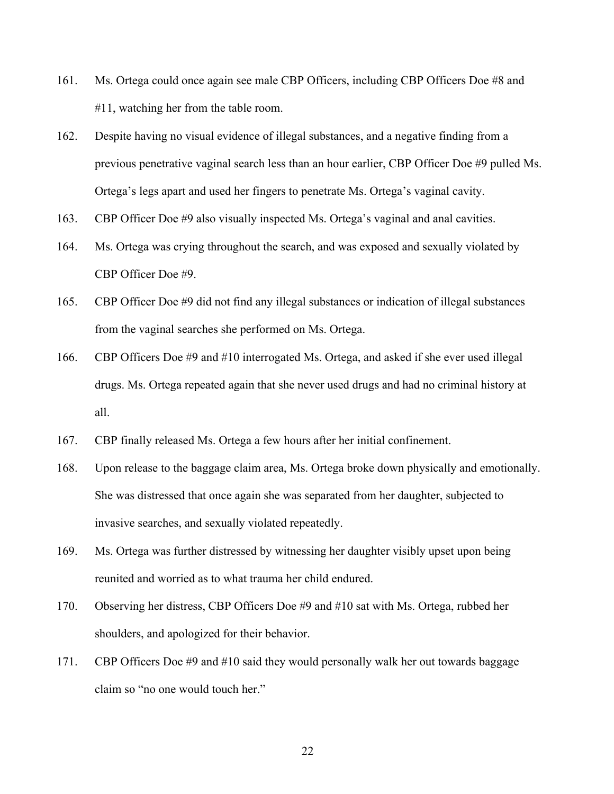- 161. Ms. Ortega could once again see male CBP Officers, including CBP Officers Doe #8 and #11, watching her from the table room.
- 162. Despite having no visual evidence of illegal substances, and a negative finding from a previous penetrative vaginal search less than an hour earlier, CBP Officer Doe #9 pulled Ms. Ortega's legs apart and used her fingers to penetrate Ms. Ortega's vaginal cavity.
- 163. CBP Officer Doe #9 also visually inspected Ms. Ortega's vaginal and anal cavities.
- 164. Ms. Ortega was crying throughout the search, and was exposed and sexually violated by CBP Officer Doe #9.
- 165. CBP Officer Doe #9 did not find any illegal substances or indication of illegal substances from the vaginal searches she performed on Ms. Ortega.
- 166. CBP Officers Doe #9 and #10 interrogated Ms. Ortega, and asked if she ever used illegal drugs. Ms. Ortega repeated again that she never used drugs and had no criminal history at all.
- 167. CBP finally released Ms. Ortega a few hours after her initial confinement.
- 168. Upon release to the baggage claim area, Ms. Ortega broke down physically and emotionally. She was distressed that once again she was separated from her daughter, subjected to invasive searches, and sexually violated repeatedly.
- 169. Ms. Ortega was further distressed by witnessing her daughter visibly upset upon being reunited and worried as to what trauma her child endured.
- 170. Observing her distress, CBP Officers Doe #9 and #10 sat with Ms. Ortega, rubbed her shoulders, and apologized for their behavior.
- 171. CBP Officers Doe #9 and #10 said they would personally walk her out towards baggage claim so "no one would touch her."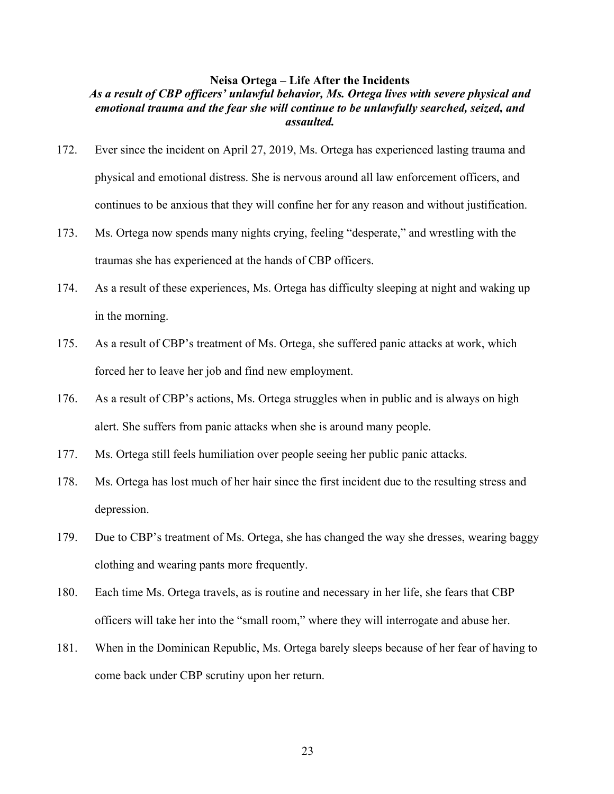#### **Neisa Ortega – Life After the Incidents**

## *As a result of CBP officers' unlawful behavior, Ms. Ortega lives with severe physical and emotional trauma and the fear she will continue to be unlawfully searched, seized, and assaulted.*

- 172. Ever since the incident on April 27, 2019, Ms. Ortega has experienced lasting trauma and physical and emotional distress. She is nervous around all law enforcement officers, and continues to be anxious that they will confine her for any reason and without justification.
- 173. Ms. Ortega now spends many nights crying, feeling "desperate," and wrestling with the traumas she has experienced at the hands of CBP officers.
- 174. As a result of these experiences, Ms. Ortega has difficulty sleeping at night and waking up in the morning.
- 175. As a result of CBP's treatment of Ms. Ortega, she suffered panic attacks at work, which forced her to leave her job and find new employment.
- 176. As a result of CBP's actions, Ms. Ortega struggles when in public and is always on high alert. She suffers from panic attacks when she is around many people.
- 177. Ms. Ortega still feels humiliation over people seeing her public panic attacks.
- 178. Ms. Ortega has lost much of her hair since the first incident due to the resulting stress and depression.
- 179. Due to CBP's treatment of Ms. Ortega, she has changed the way she dresses, wearing baggy clothing and wearing pants more frequently.
- 180. Each time Ms. Ortega travels, as is routine and necessary in her life, she fears that CBP officers will take her into the "small room," where they will interrogate and abuse her.
- 181. When in the Dominican Republic, Ms. Ortega barely sleeps because of her fear of having to come back under CBP scrutiny upon her return.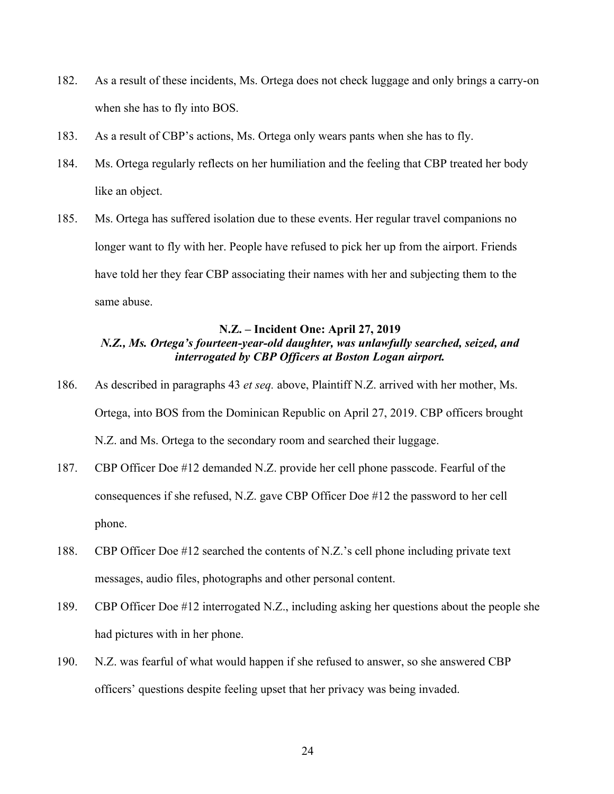- 182. As a result of these incidents, Ms. Ortega does not check luggage and only brings a carry-on when she has to fly into BOS.
- 183. As a result of CBP's actions, Ms. Ortega only wears pants when she has to fly.
- 184. Ms. Ortega regularly reflects on her humiliation and the feeling that CBP treated her body like an object.
- 185. Ms. Ortega has suffered isolation due to these events. Her regular travel companions no longer want to fly with her. People have refused to pick her up from the airport. Friends have told her they fear CBP associating their names with her and subjecting them to the same abuse.

### **N.Z. – Incident One: April 27, 2019** *N.Z., Ms. Ortega's fourteen-year-old daughter, was unlawfully searched, seized, and interrogated by CBP Officers at Boston Logan airport.*

- 186. As described in paragraphs 43 *et seq.* above, Plaintiff N.Z. arrived with her mother, Ms. Ortega, into BOS from the Dominican Republic on April 27, 2019. CBP officers brought N.Z. and Ms. Ortega to the secondary room and searched their luggage.
- 187. CBP Officer Doe #12 demanded N.Z. provide her cell phone passcode. Fearful of the consequences if she refused, N.Z. gave CBP Officer Doe #12 the password to her cell phone.
- 188. CBP Officer Doe #12 searched the contents of N.Z.'s cell phone including private text messages, audio files, photographs and other personal content.
- 189. CBP Officer Doe #12 interrogated N.Z., including asking her questions about the people she had pictures with in her phone.
- 190. N.Z. was fearful of what would happen if she refused to answer, so she answered CBP officers' questions despite feeling upset that her privacy was being invaded.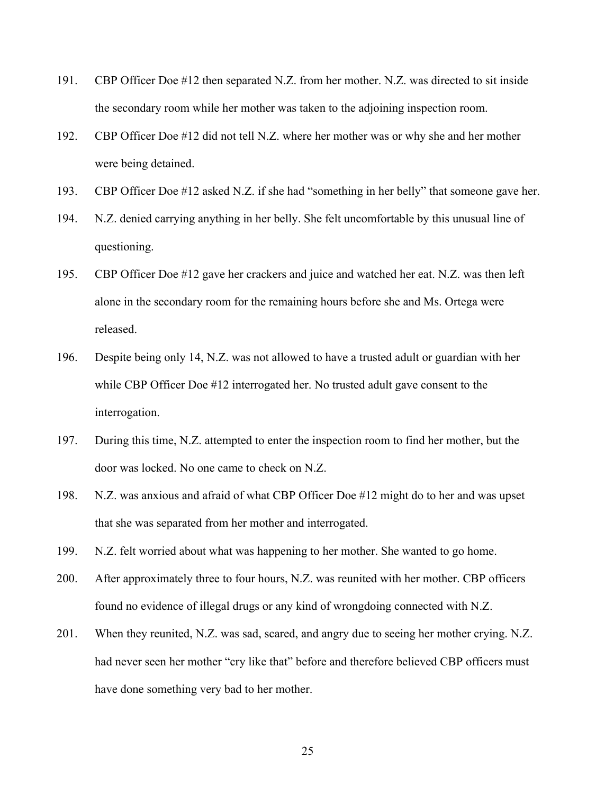- 191. CBP Officer Doe #12 then separated N.Z. from her mother. N.Z. was directed to sit inside the secondary room while her mother was taken to the adjoining inspection room.
- 192. CBP Officer Doe #12 did not tell N.Z. where her mother was or why she and her mother were being detained.
- 193. CBP Officer Doe #12 asked N.Z. if she had "something in her belly" that someone gave her.
- 194. N.Z. denied carrying anything in her belly. She felt uncomfortable by this unusual line of questioning.
- 195. CBP Officer Doe #12 gave her crackers and juice and watched her eat. N.Z. was then left alone in the secondary room for the remaining hours before she and Ms. Ortega were released.
- 196. Despite being only 14, N.Z. was not allowed to have a trusted adult or guardian with her while CBP Officer Doe #12 interrogated her. No trusted adult gave consent to the interrogation.
- 197. During this time, N.Z. attempted to enter the inspection room to find her mother, but the door was locked. No one came to check on N.Z.
- 198. N.Z. was anxious and afraid of what CBP Officer Doe #12 might do to her and was upset that she was separated from her mother and interrogated.
- 199. N.Z. felt worried about what was happening to her mother. She wanted to go home.
- 200. After approximately three to four hours, N.Z. was reunited with her mother. CBP officers found no evidence of illegal drugs or any kind of wrongdoing connected with N.Z.
- 201. When they reunited, N.Z. was sad, scared, and angry due to seeing her mother crying. N.Z. had never seen her mother "cry like that" before and therefore believed CBP officers must have done something very bad to her mother.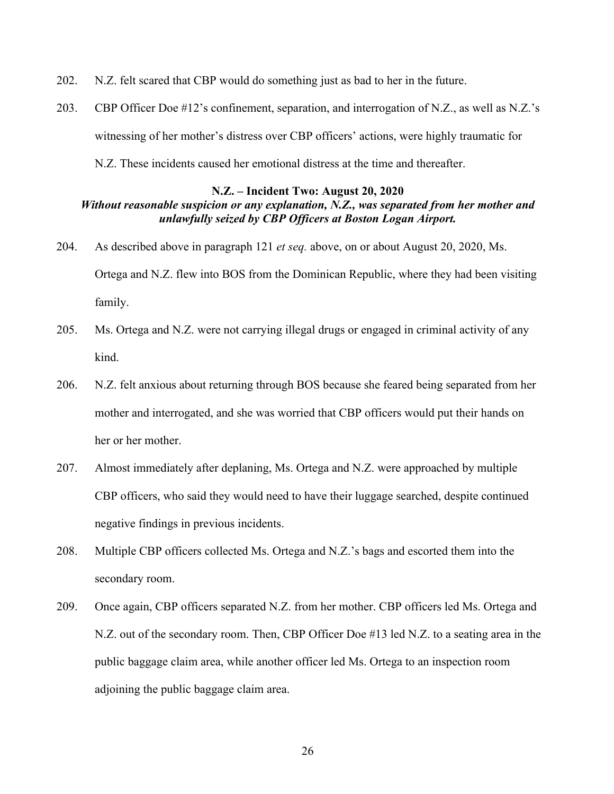- 202. N.Z. felt scared that CBP would do something just as bad to her in the future.
- 203. CBP Officer Doe #12's confinement, separation, and interrogation of N.Z., as well as N.Z.'s witnessing of her mother's distress over CBP officers' actions, were highly traumatic for

N.Z. These incidents caused her emotional distress at the time and thereafter.

#### **N.Z. – Incident Two: August 20, 2020**

## *Without reasonable suspicion or any explanation, N.Z., was separated from her mother and unlawfully seized by CBP Officers at Boston Logan Airport.*

- 204. As described above in paragraph 121 *et seq.* above, on or about August 20, 2020, Ms. Ortega and N.Z. flew into BOS from the Dominican Republic, where they had been visiting family.
- 205. Ms. Ortega and N.Z. were not carrying illegal drugs or engaged in criminal activity of any kind.
- 206. N.Z. felt anxious about returning through BOS because she feared being separated from her mother and interrogated, and she was worried that CBP officers would put their hands on her or her mother.
- 207. Almost immediately after deplaning, Ms. Ortega and N.Z. were approached by multiple CBP officers, who said they would need to have their luggage searched, despite continued negative findings in previous incidents.
- 208. Multiple CBP officers collected Ms. Ortega and N.Z.'s bags and escorted them into the secondary room.
- 209. Once again, CBP officers separated N.Z. from her mother. CBP officers led Ms. Ortega and N.Z. out of the secondary room. Then, CBP Officer Doe #13 led N.Z. to a seating area in the public baggage claim area, while another officer led Ms. Ortega to an inspection room adjoining the public baggage claim area.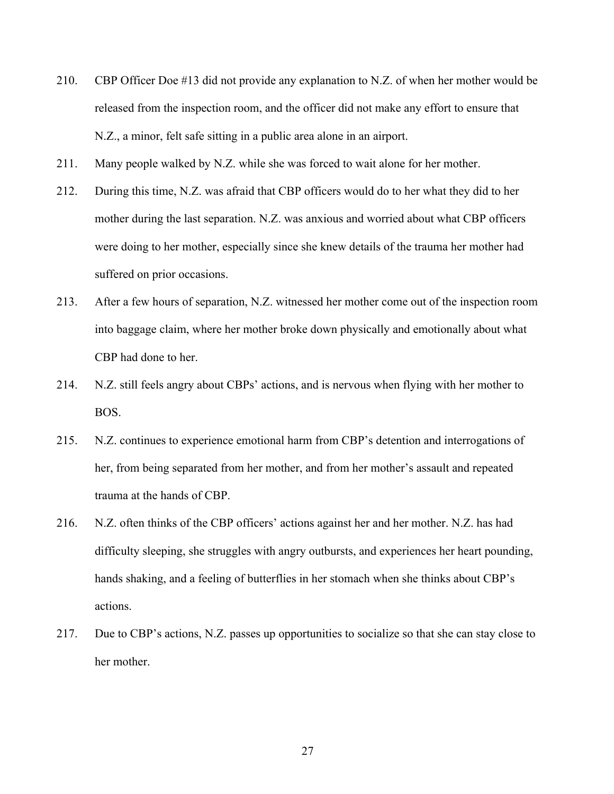- 210. CBP Officer Doe #13 did not provide any explanation to N.Z. of when her mother would be released from the inspection room, and the officer did not make any effort to ensure that N.Z., a minor, felt safe sitting in a public area alone in an airport.
- 211. Many people walked by N.Z. while she was forced to wait alone for her mother.
- 212. During this time, N.Z. was afraid that CBP officers would do to her what they did to her mother during the last separation. N.Z. was anxious and worried about what CBP officers were doing to her mother, especially since she knew details of the trauma her mother had suffered on prior occasions.
- 213. After a few hours of separation, N.Z. witnessed her mother come out of the inspection room into baggage claim, where her mother broke down physically and emotionally about what CBP had done to her.
- 214. N.Z. still feels angry about CBPs' actions, and is nervous when flying with her mother to BOS.
- 215. N.Z. continues to experience emotional harm from CBP's detention and interrogations of her, from being separated from her mother, and from her mother's assault and repeated trauma at the hands of CBP.
- 216. N.Z. often thinks of the CBP officers' actions against her and her mother. N.Z. has had difficulty sleeping, she struggles with angry outbursts, and experiences her heart pounding, hands shaking, and a feeling of butterflies in her stomach when she thinks about CBP's actions.
- 217. Due to CBP's actions, N.Z. passes up opportunities to socialize so that she can stay close to her mother.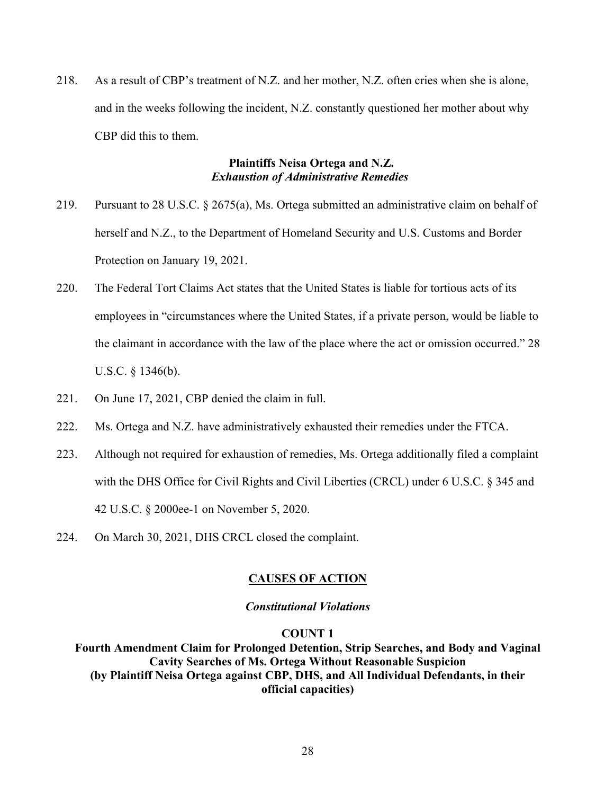218. As a result of CBP's treatment of N.Z. and her mother, N.Z. often cries when she is alone, and in the weeks following the incident, N.Z. constantly questioned her mother about why CBP did this to them.

### **Plaintiffs Neisa Ortega and N.Z.** *Exhaustion of Administrative Remedies*

- 219. Pursuant to 28 U.S.C. § 2675(a), Ms. Ortega submitted an administrative claim on behalf of herself and N.Z., to the Department of Homeland Security and U.S. Customs and Border Protection on January 19, 2021.
- 220. The Federal Tort Claims Act states that the United States is liable for tortious acts of its employees in "circumstances where the United States, if a private person, would be liable to the claimant in accordance with the law of the place where the act or omission occurred." 28 U.S.C. § 1346(b).
- 221. On June 17, 2021, CBP denied the claim in full.
- 222. Ms. Ortega and N.Z. have administratively exhausted their remedies under the FTCA.
- 223. Although not required for exhaustion of remedies, Ms. Ortega additionally filed a complaint with the DHS Office for Civil Rights and Civil Liberties (CRCL) under 6 U.S.C. § 345 and 42 U.S.C. § 2000ee-1 on November 5, 2020.
- 224. On March 30, 2021, DHS CRCL closed the complaint.

#### **CAUSES OF ACTION**

#### *Constitutional Violations*

#### **COUNT 1**

**Fourth Amendment Claim for Prolonged Detention, Strip Searches, and Body and Vaginal Cavity Searches of Ms. Ortega Without Reasonable Suspicion (by Plaintiff Neisa Ortega against CBP, DHS, and All Individual Defendants, in their official capacities)**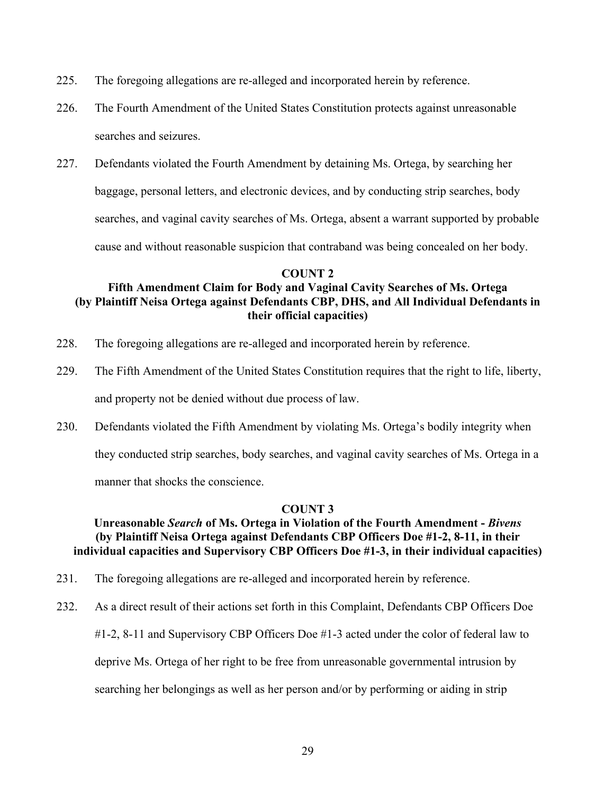- 225. The foregoing allegations are re-alleged and incorporated herein by reference.
- 226. The Fourth Amendment of the United States Constitution protects against unreasonable searches and seizures.
- 227. Defendants violated the Fourth Amendment by detaining Ms. Ortega, by searching her baggage, personal letters, and electronic devices, and by conducting strip searches, body searches, and vaginal cavity searches of Ms. Ortega, absent a warrant supported by probable cause and without reasonable suspicion that contraband was being concealed on her body.

#### **COUNT 2**

## **Fifth Amendment Claim for Body and Vaginal Cavity Searches of Ms. Ortega (by Plaintiff Neisa Ortega against Defendants CBP, DHS, and All Individual Defendants in their official capacities)**

- 228. The foregoing allegations are re-alleged and incorporated herein by reference.
- 229. The Fifth Amendment of the United States Constitution requires that the right to life, liberty, and property not be denied without due process of law.
- 230. Defendants violated the Fifth Amendment by violating Ms. Ortega's bodily integrity when they conducted strip searches, body searches, and vaginal cavity searches of Ms. Ortega in a manner that shocks the conscience.

#### **COUNT 3**

### **Unreasonable** *Search* **of Ms. Ortega in Violation of the Fourth Amendment -** *Bivens* **(by Plaintiff Neisa Ortega against Defendants CBP Officers Doe #1-2, 8-11, in their individual capacities and Supervisory CBP Officers Doe #1-3, in their individual capacities)**

- 231. The foregoing allegations are re-alleged and incorporated herein by reference.
- 232. As a direct result of their actions set forth in this Complaint, Defendants CBP Officers Doe #1-2, 8-11 and Supervisory CBP Officers Doe #1-3 acted under the color of federal law to deprive Ms. Ortega of her right to be free from unreasonable governmental intrusion by searching her belongings as well as her person and/or by performing or aiding in strip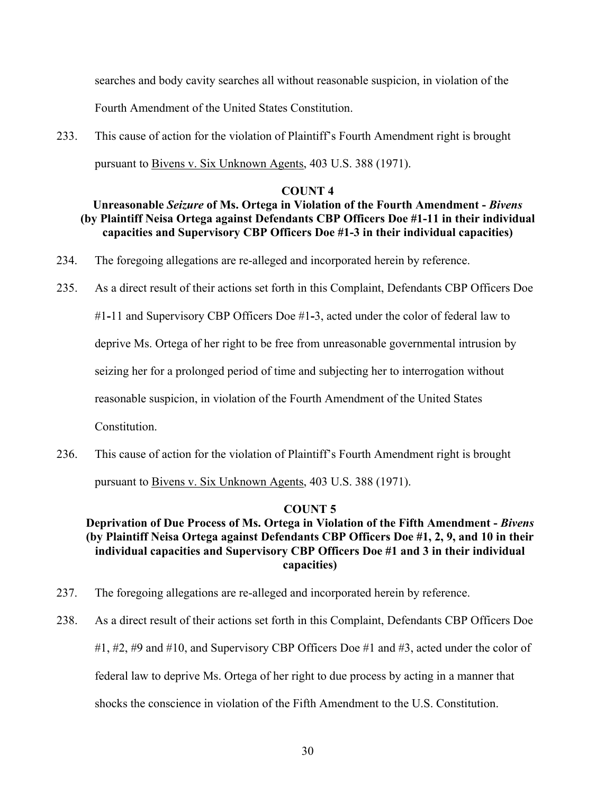searches and body cavity searches all without reasonable suspicion, in violation of the Fourth Amendment of the United States Constitution.

233. This cause of action for the violation of Plaintiff's Fourth Amendment right is brought pursuant to Bivens v. Six Unknown Agents, 403 U.S. 388 (1971).

#### **COUNT 4**

## **Unreasonable** *Seizure* **of Ms. Ortega in Violation of the Fourth Amendment -** *Bivens* **(by Plaintiff Neisa Ortega against Defendants CBP Officers Doe #1-11 in their individual capacities and Supervisory CBP Officers Doe #1-3 in their individual capacities)**

- 234. The foregoing allegations are re-alleged and incorporated herein by reference.
- 235. As a direct result of their actions set forth in this Complaint, Defendants CBP Officers Doe

#1**-**11 and Supervisory CBP Officers Doe #1**-**3, acted under the color of federal law to

deprive Ms. Ortega of her right to be free from unreasonable governmental intrusion by

seizing her for a prolonged period of time and subjecting her to interrogation without

reasonable suspicion, in violation of the Fourth Amendment of the United States

Constitution.

236. This cause of action for the violation of Plaintiff's Fourth Amendment right is brought pursuant to Bivens v. Six Unknown Agents, 403 U.S. 388 (1971).

### **COUNT 5**

# **Deprivation of Due Process of Ms. Ortega in Violation of the Fifth Amendment -** *Bivens* **(by Plaintiff Neisa Ortega against Defendants CBP Officers Doe #1, 2, 9, and 10 in their individual capacities and Supervisory CBP Officers Doe #1 and 3 in their individual capacities)**

- 237. The foregoing allegations are re-alleged and incorporated herein by reference.
- 238. As a direct result of their actions set forth in this Complaint, Defendants CBP Officers Doe #1, #2, #9 and #10, and Supervisory CBP Officers Doe #1 and #3, acted under the color of federal law to deprive Ms. Ortega of her right to due process by acting in a manner that shocks the conscience in violation of the Fifth Amendment to the U.S. Constitution.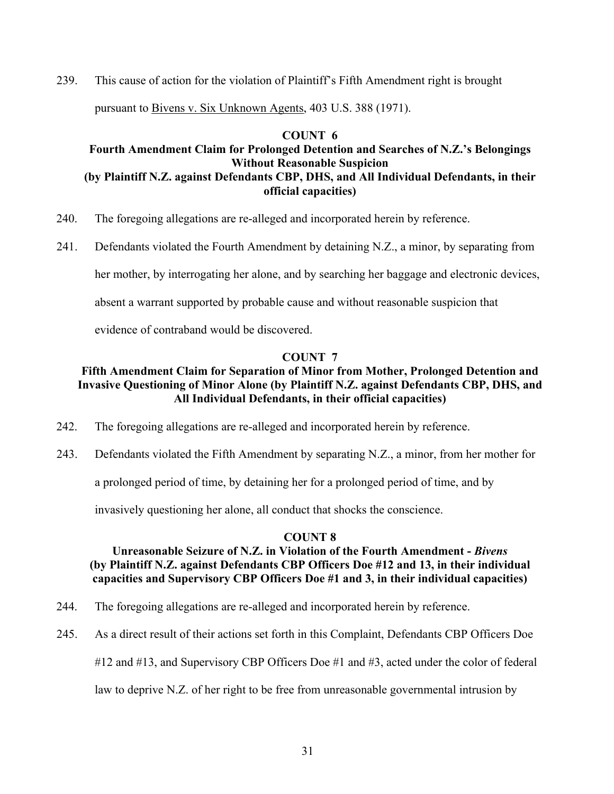239. This cause of action for the violation of Plaintiff's Fifth Amendment right is brought

pursuant to Bivens v. Six Unknown Agents, 403 U.S. 388 (1971).

### **COUNT 6**

## **Fourth Amendment Claim for Prolonged Detention and Searches of N.Z.'s Belongings Without Reasonable Suspicion (by Plaintiff N.Z. against Defendants CBP, DHS, and All Individual Defendants, in their official capacities)**

- 240. The foregoing allegations are re-alleged and incorporated herein by reference.
- 241. Defendants violated the Fourth Amendment by detaining N.Z., a minor, by separating from

her mother, by interrogating her alone, and by searching her baggage and electronic devices,

absent a warrant supported by probable cause and without reasonable suspicion that

evidence of contraband would be discovered.

### **COUNT 7**

## **Fifth Amendment Claim for Separation of Minor from Mother, Prolonged Detention and Invasive Questioning of Minor Alone (by Plaintiff N.Z. against Defendants CBP, DHS, and All Individual Defendants, in their official capacities)**

- 242. The foregoing allegations are re-alleged and incorporated herein by reference.
- 243. Defendants violated the Fifth Amendment by separating N.Z., a minor, from her mother for

a prolonged period of time, by detaining her for a prolonged period of time, and by

invasively questioning her alone, all conduct that shocks the conscience.

### **COUNT 8**

## **Unreasonable Seizure of N.Z. in Violation of the Fourth Amendment -** *Bivens* **(by Plaintiff N.Z. against Defendants CBP Officers Doe #12 and 13, in their individual capacities and Supervisory CBP Officers Doe #1 and 3, in their individual capacities)**

- 244. The foregoing allegations are re-alleged and incorporated herein by reference.
- 245. As a direct result of their actions set forth in this Complaint, Defendants CBP Officers Doe

#12 and #13, and Supervisory CBP Officers Doe #1 and #3, acted under the color of federal

law to deprive N.Z. of her right to be free from unreasonable governmental intrusion by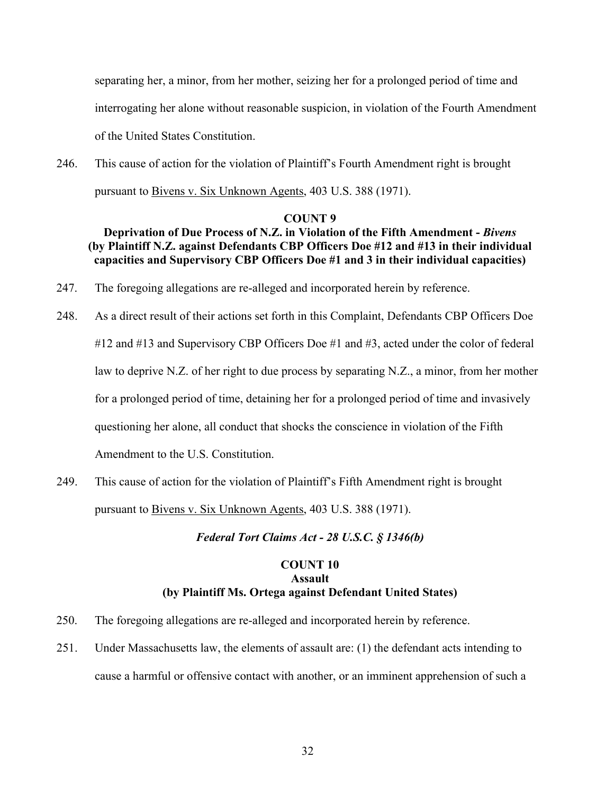separating her, a minor, from her mother, seizing her for a prolonged period of time and interrogating her alone without reasonable suspicion, in violation of the Fourth Amendment of the United States Constitution.

246. This cause of action for the violation of Plaintiff's Fourth Amendment right is brought pursuant to Bivens v. Six Unknown Agents, 403 U.S. 388 (1971).

#### **COUNT 9**

# **Deprivation of Due Process of N.Z. in Violation of the Fifth Amendment -** *Bivens* **(by Plaintiff N.Z. against Defendants CBP Officers Doe #12 and #13 in their individual capacities and Supervisory CBP Officers Doe #1 and 3 in their individual capacities)**

- 247. The foregoing allegations are re-alleged and incorporated herein by reference.
- 248. As a direct result of their actions set forth in this Complaint, Defendants CBP Officers Doe #12 and #13 and Supervisory CBP Officers Doe #1 and #3, acted under the color of federal law to deprive N.Z. of her right to due process by separating N.Z., a minor, from her mother for a prolonged period of time, detaining her for a prolonged period of time and invasively questioning her alone, all conduct that shocks the conscience in violation of the Fifth Amendment to the U.S. Constitution.
- 249. This cause of action for the violation of Plaintiff's Fifth Amendment right is brought pursuant to Bivens v. Six Unknown Agents, 403 U.S. 388 (1971).

#### *Federal Tort Claims Act - 28 U.S.C. § 1346(b)*

# **COUNT 10 Assault (by Plaintiff Ms. Ortega against Defendant United States)**

- 250. The foregoing allegations are re-alleged and incorporated herein by reference.
- 251. Under Massachusetts law, the elements of assault are: (1) the defendant acts intending to cause a harmful or offensive contact with another, or an imminent apprehension of such a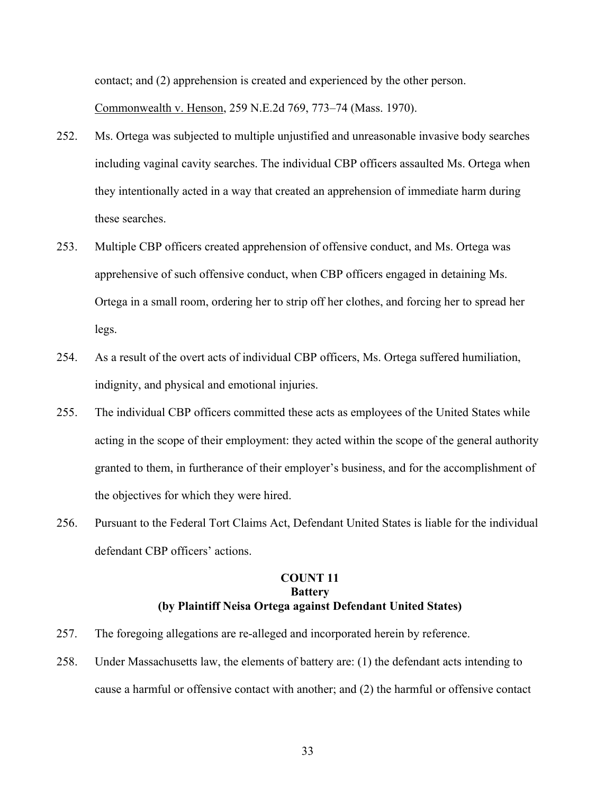contact; and (2) apprehension is created and experienced by the other person.

Commonwealth v. Henson, 259 N.E.2d 769, 773–74 (Mass. 1970).

- 252. Ms. Ortega was subjected to multiple unjustified and unreasonable invasive body searches including vaginal cavity searches. The individual CBP officers assaulted Ms. Ortega when they intentionally acted in a way that created an apprehension of immediate harm during these searches.
- 253. Multiple CBP officers created apprehension of offensive conduct, and Ms. Ortega was apprehensive of such offensive conduct, when CBP officers engaged in detaining Ms. Ortega in a small room, ordering her to strip off her clothes, and forcing her to spread her legs.
- 254. As a result of the overt acts of individual CBP officers, Ms. Ortega suffered humiliation, indignity, and physical and emotional injuries.
- 255. The individual CBP officers committed these acts as employees of the United States while acting in the scope of their employment: they acted within the scope of the general authority granted to them, in furtherance of their employer's business, and for the accomplishment of the objectives for which they were hired.
- 256. Pursuant to the Federal Tort Claims Act, Defendant United States is liable for the individual defendant CBP officers' actions.

## **COUNT 11 Battery (by Plaintiff Neisa Ortega against Defendant United States)**

- 257. The foregoing allegations are re-alleged and incorporated herein by reference.
- 258. Under Massachusetts law, the elements of battery are: (1) the defendant acts intending to cause a harmful or offensive contact with another; and (2) the harmful or offensive contact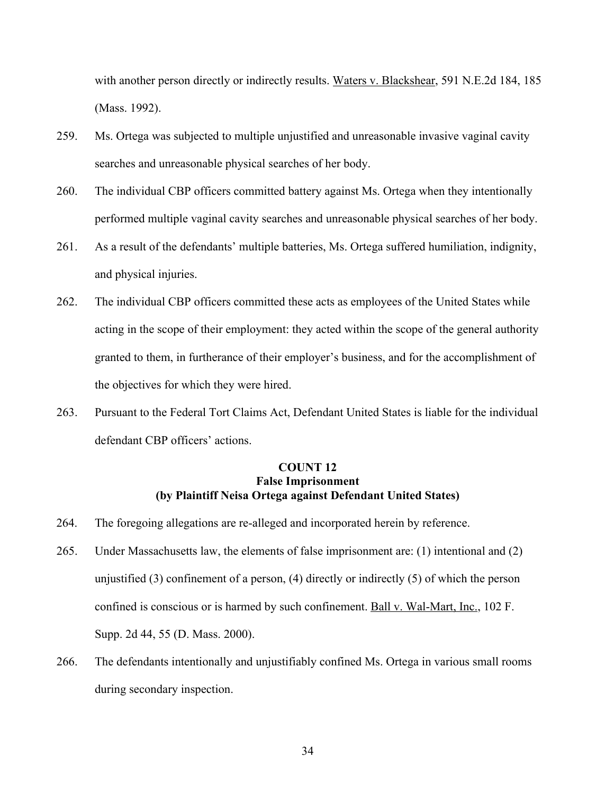with another person directly or indirectly results. Waters v. Blackshear, 591 N.E.2d 184, 185 (Mass. 1992).

- 259. Ms. Ortega was subjected to multiple unjustified and unreasonable invasive vaginal cavity searches and unreasonable physical searches of her body.
- 260. The individual CBP officers committed battery against Ms. Ortega when they intentionally performed multiple vaginal cavity searches and unreasonable physical searches of her body.
- 261. As a result of the defendants' multiple batteries, Ms. Ortega suffered humiliation, indignity, and physical injuries.
- 262. The individual CBP officers committed these acts as employees of the United States while acting in the scope of their employment: they acted within the scope of the general authority granted to them, in furtherance of their employer's business, and for the accomplishment of the objectives for which they were hired.
- 263. Pursuant to the Federal Tort Claims Act, Defendant United States is liable for the individual defendant CBP officers' actions.

## **COUNT 12 False Imprisonment (by Plaintiff Neisa Ortega against Defendant United States)**

- 264. The foregoing allegations are re-alleged and incorporated herein by reference.
- 265. Under Massachusetts law, the elements of false imprisonment are: (1) intentional and (2) unjustified (3) confinement of a person, (4) directly or indirectly (5) of which the person confined is conscious or is harmed by such confinement. Ball v. Wal-Mart, Inc., 102 F. Supp. 2d 44, 55 (D. Mass. 2000).
- 266. The defendants intentionally and unjustifiably confined Ms. Ortega in various small rooms during secondary inspection.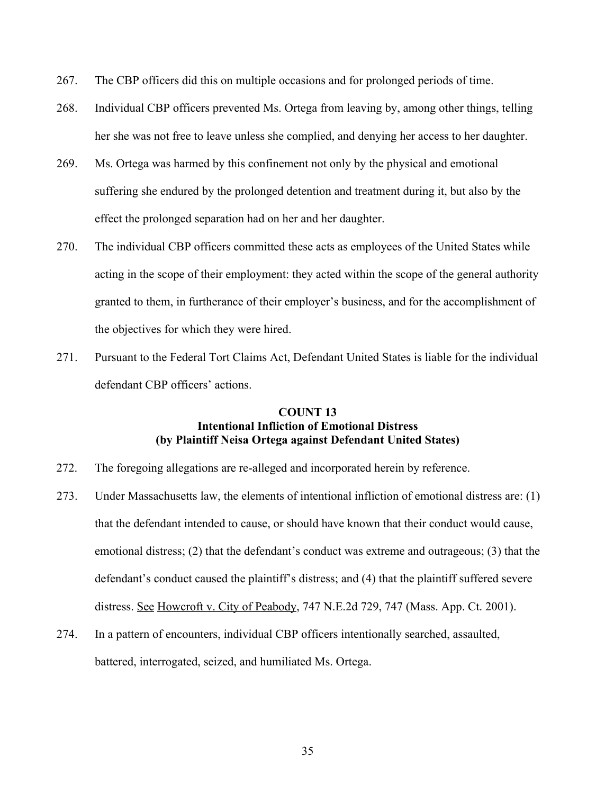- 267. The CBP officers did this on multiple occasions and for prolonged periods of time.
- 268. Individual CBP officers prevented Ms. Ortega from leaving by, among other things, telling her she was not free to leave unless she complied, and denying her access to her daughter.
- 269. Ms. Ortega was harmed by this confinement not only by the physical and emotional suffering she endured by the prolonged detention and treatment during it, but also by the effect the prolonged separation had on her and her daughter.
- 270. The individual CBP officers committed these acts as employees of the United States while acting in the scope of their employment: they acted within the scope of the general authority granted to them, in furtherance of their employer's business, and for the accomplishment of the objectives for which they were hired.
- 271. Pursuant to the Federal Tort Claims Act, Defendant United States is liable for the individual defendant CBP officers' actions.

#### **COUNT 13 Intentional Infliction of Emotional Distress (by Plaintiff Neisa Ortega against Defendant United States)**

- 272. The foregoing allegations are re-alleged and incorporated herein by reference.
- 273. Under Massachusetts law, the elements of intentional infliction of emotional distress are: (1) that the defendant intended to cause, or should have known that their conduct would cause, emotional distress; (2) that the defendant's conduct was extreme and outrageous; (3) that the defendant's conduct caused the plaintiff's distress; and (4) that the plaintiff suffered severe distress. See Howcroft v. City of Peabody, 747 N.E.2d 729, 747 (Mass. App. Ct. 2001).
- 274. In a pattern of encounters, individual CBP officers intentionally searched, assaulted, battered, interrogated, seized, and humiliated Ms. Ortega.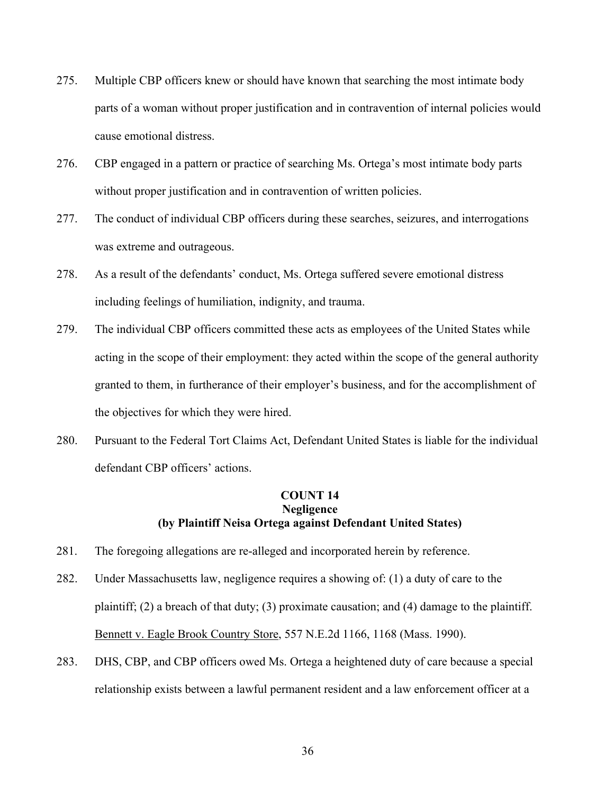- 275. Multiple CBP officers knew or should have known that searching the most intimate body parts of a woman without proper justification and in contravention of internal policies would cause emotional distress.
- 276. CBP engaged in a pattern or practice of searching Ms. Ortega's most intimate body parts without proper justification and in contravention of written policies.
- 277. The conduct of individual CBP officers during these searches, seizures, and interrogations was extreme and outrageous.
- 278. As a result of the defendants' conduct, Ms. Ortega suffered severe emotional distress including feelings of humiliation, indignity, and trauma.
- 279. The individual CBP officers committed these acts as employees of the United States while acting in the scope of their employment: they acted within the scope of the general authority granted to them, in furtherance of their employer's business, and for the accomplishment of the objectives for which they were hired.
- 280. Pursuant to the Federal Tort Claims Act, Defendant United States is liable for the individual defendant CBP officers' actions.

## **COUNT 14 Negligence (by Plaintiff Neisa Ortega against Defendant United States)**

- 281. The foregoing allegations are re-alleged and incorporated herein by reference.
- 282. Under Massachusetts law, negligence requires a showing of: (1) a duty of care to the plaintiff; (2) a breach of that duty; (3) proximate causation; and (4) damage to the plaintiff. Bennett v. Eagle Brook Country Store, 557 N.E.2d 1166, 1168 (Mass. 1990).
- 283. DHS, CBP, and CBP officers owed Ms. Ortega a heightened duty of care because a special relationship exists between a lawful permanent resident and a law enforcement officer at a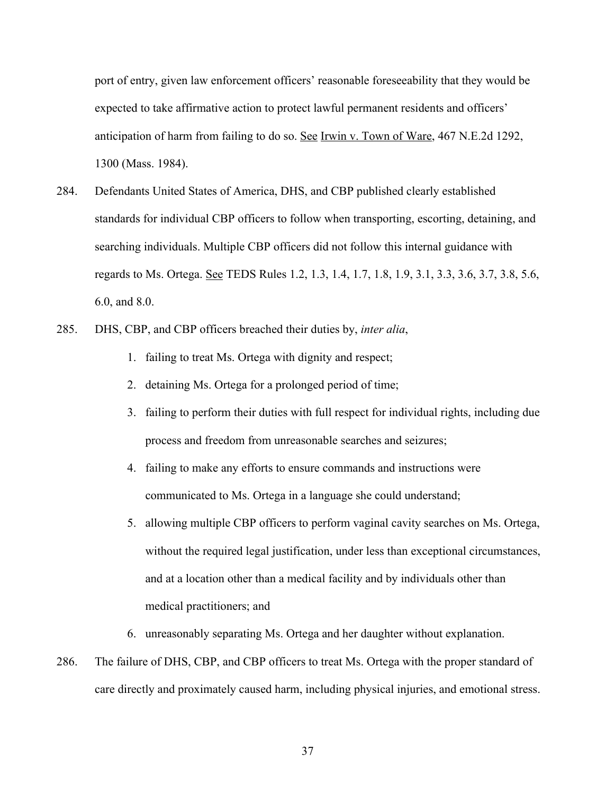port of entry, given law enforcement officers' reasonable foreseeability that they would be expected to take affirmative action to protect lawful permanent residents and officers' anticipation of harm from failing to do so. See Irwin v. Town of Ware, 467 N.E.2d 1292, 1300 (Mass. 1984).

- 284. Defendants United States of America, DHS, and CBP published clearly established standards for individual CBP officers to follow when transporting, escorting, detaining, and searching individuals. Multiple CBP officers did not follow this internal guidance with regards to Ms. Ortega. See TEDS Rules 1.2, 1.3, 1.4, 1.7, 1.8, 1.9, 3.1, 3.3, 3.6, 3.7, 3.8, 5.6, 6.0, and 8.0.
- 285. DHS, CBP, and CBP officers breached their duties by, *inter alia*,
	- 1. failing to treat Ms. Ortega with dignity and respect;
	- 2. detaining Ms. Ortega for a prolonged period of time;
	- 3. failing to perform their duties with full respect for individual rights, including due process and freedom from unreasonable searches and seizures;
	- 4. failing to make any efforts to ensure commands and instructions were communicated to Ms. Ortega in a language she could understand;
	- 5. allowing multiple CBP officers to perform vaginal cavity searches on Ms. Ortega, without the required legal justification, under less than exceptional circumstances, and at a location other than a medical facility and by individuals other than medical practitioners; and
	- 6. unreasonably separating Ms. Ortega and her daughter without explanation.
- 286. The failure of DHS, CBP, and CBP officers to treat Ms. Ortega with the proper standard of care directly and proximately caused harm, including physical injuries, and emotional stress.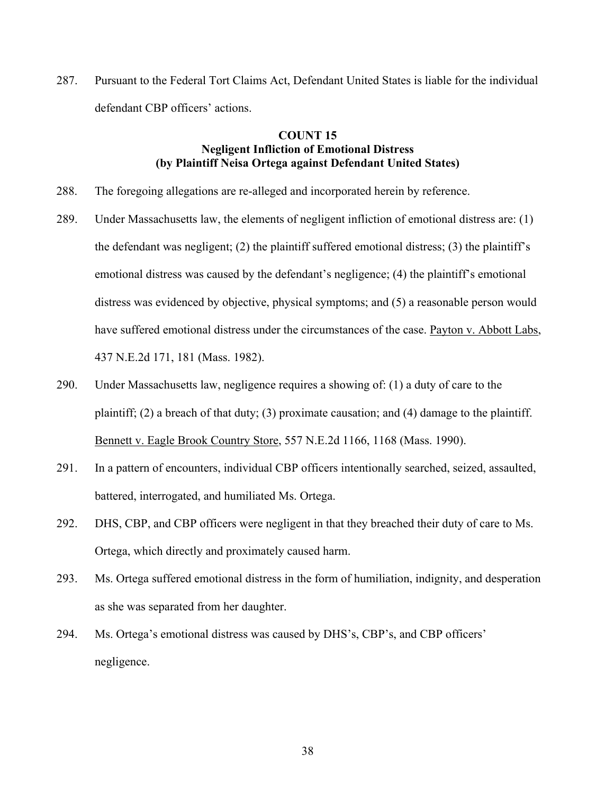287. Pursuant to the Federal Tort Claims Act, Defendant United States is liable for the individual defendant CBP officers' actions.

## **COUNT 15 Negligent Infliction of Emotional Distress (by Plaintiff Neisa Ortega against Defendant United States)**

- 288. The foregoing allegations are re-alleged and incorporated herein by reference.
- 289. Under Massachusetts law, the elements of negligent infliction of emotional distress are: (1) the defendant was negligent; (2) the plaintiff suffered emotional distress; (3) the plaintiff's emotional distress was caused by the defendant's negligence; (4) the plaintiff's emotional distress was evidenced by objective, physical symptoms; and (5) a reasonable person would have suffered emotional distress under the circumstances of the case. Payton v. Abbott Labs, 437 N.E.2d 171, 181 (Mass. 1982).
- 290. Under Massachusetts law, negligence requires a showing of: (1) a duty of care to the plaintiff; (2) a breach of that duty; (3) proximate causation; and (4) damage to the plaintiff. Bennett v. Eagle Brook Country Store, 557 N.E.2d 1166, 1168 (Mass. 1990).
- 291. In a pattern of encounters, individual CBP officers intentionally searched, seized, assaulted, battered, interrogated, and humiliated Ms. Ortega.
- 292. DHS, CBP, and CBP officers were negligent in that they breached their duty of care to Ms. Ortega, which directly and proximately caused harm.
- 293. Ms. Ortega suffered emotional distress in the form of humiliation, indignity, and desperation as she was separated from her daughter.
- 294. Ms. Ortega's emotional distress was caused by DHS's, CBP's, and CBP officers' negligence.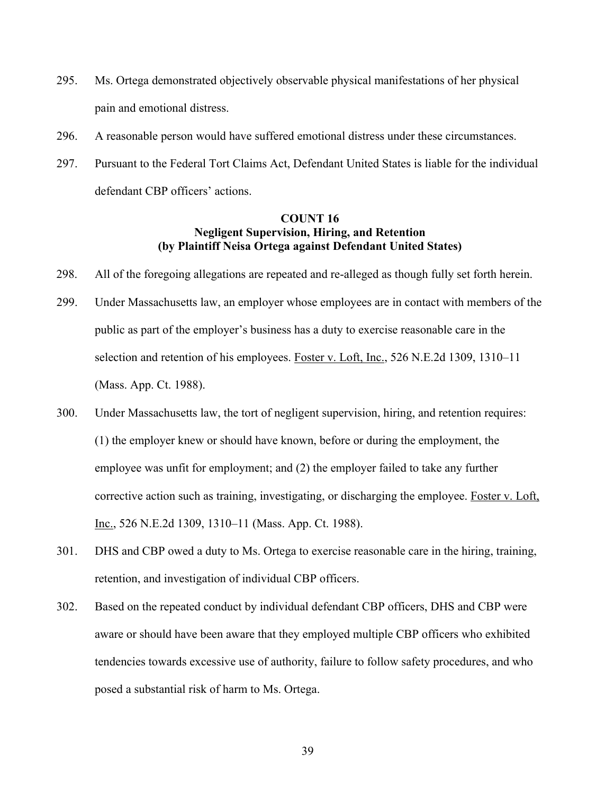- 295. Ms. Ortega demonstrated objectively observable physical manifestations of her physical pain and emotional distress.
- 296. A reasonable person would have suffered emotional distress under these circumstances.
- 297. Pursuant to the Federal Tort Claims Act, Defendant United States is liable for the individual defendant CBP officers' actions.

## **COUNT 16 Negligent Supervision, Hiring, and Retention (by Plaintiff Neisa Ortega against Defendant United States)**

- 298. All of the foregoing allegations are repeated and re-alleged as though fully set forth herein.
- 299. Under Massachusetts law, an employer whose employees are in contact with members of the public as part of the employer's business has a duty to exercise reasonable care in the selection and retention of his employees. Foster v. Loft, Inc., 526 N.E.2d 1309, 1310–11 (Mass. App. Ct. 1988).
- 300. Under Massachusetts law, the tort of negligent supervision, hiring, and retention requires: (1) the employer knew or should have known, before or during the employment, the employee was unfit for employment; and (2) the employer failed to take any further corrective action such as training, investigating, or discharging the employee. Foster v. Loft, Inc., 526 N.E.2d 1309, 1310–11 (Mass. App. Ct. 1988).
- 301. DHS and CBP owed a duty to Ms. Ortega to exercise reasonable care in the hiring, training, retention, and investigation of individual CBP officers.
- 302. Based on the repeated conduct by individual defendant CBP officers, DHS and CBP were aware or should have been aware that they employed multiple CBP officers who exhibited tendencies towards excessive use of authority, failure to follow safety procedures, and who posed a substantial risk of harm to Ms. Ortega.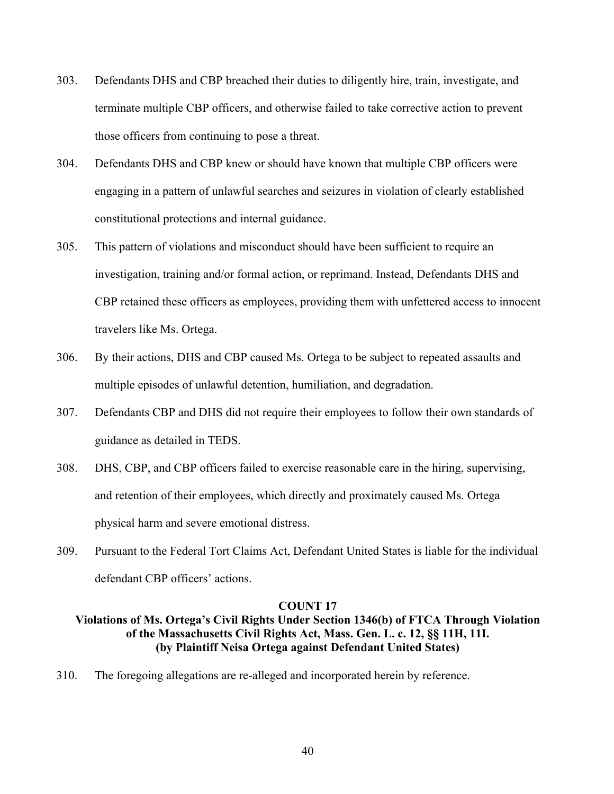- 303. Defendants DHS and CBP breached their duties to diligently hire, train, investigate, and terminate multiple CBP officers, and otherwise failed to take corrective action to prevent those officers from continuing to pose a threat.
- 304. Defendants DHS and CBP knew or should have known that multiple CBP officers were engaging in a pattern of unlawful searches and seizures in violation of clearly established constitutional protections and internal guidance.
- 305. This pattern of violations and misconduct should have been sufficient to require an investigation, training and/or formal action, or reprimand. Instead, Defendants DHS and CBP retained these officers as employees, providing them with unfettered access to innocent travelers like Ms. Ortega.
- 306. By their actions, DHS and CBP caused Ms. Ortega to be subject to repeated assaults and multiple episodes of unlawful detention, humiliation, and degradation.
- 307. Defendants CBP and DHS did not require their employees to follow their own standards of guidance as detailed in TEDS.
- 308. DHS, CBP, and CBP officers failed to exercise reasonable care in the hiring, supervising, and retention of their employees, which directly and proximately caused Ms. Ortega physical harm and severe emotional distress.
- 309. Pursuant to the Federal Tort Claims Act, Defendant United States is liable for the individual defendant CBP officers' actions.

#### **COUNT 17**

## **Violations of Ms. Ortega's Civil Rights Under Section 1346(b) of FTCA Through Violation of the Massachusetts Civil Rights Act, Mass. Gen. L. c. 12, §§ 11H, 11I. (by Plaintiff Neisa Ortega against Defendant United States)**

310. The foregoing allegations are re-alleged and incorporated herein by reference.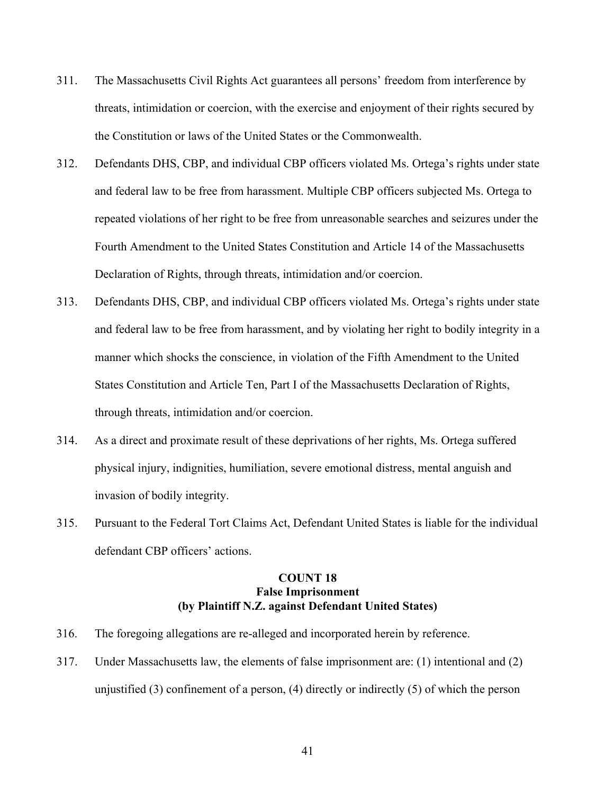- 311. The Massachusetts Civil Rights Act guarantees all persons' freedom from interference by threats, intimidation or coercion, with the exercise and enjoyment of their rights secured by the Constitution or laws of the United States or the Commonwealth.
- 312. Defendants DHS, CBP, and individual CBP officers violated Ms. Ortega's rights under state and federal law to be free from harassment. Multiple CBP officers subjected Ms. Ortega to repeated violations of her right to be free from unreasonable searches and seizures under the Fourth Amendment to the United States Constitution and Article 14 of the Massachusetts Declaration of Rights, through threats, intimidation and/or coercion.
- 313. Defendants DHS, CBP, and individual CBP officers violated Ms. Ortega's rights under state and federal law to be free from harassment, and by violating her right to bodily integrity in a manner which shocks the conscience, in violation of the Fifth Amendment to the United States Constitution and Article Ten, Part I of the Massachusetts Declaration of Rights, through threats, intimidation and/or coercion.
- 314. As a direct and proximate result of these deprivations of her rights, Ms. Ortega suffered physical injury, indignities, humiliation, severe emotional distress, mental anguish and invasion of bodily integrity.
- 315. Pursuant to the Federal Tort Claims Act, Defendant United States is liable for the individual defendant CBP officers' actions.

## **COUNT 18 False Imprisonment (by Plaintiff N.Z. against Defendant United States)**

- 316. The foregoing allegations are re-alleged and incorporated herein by reference.
- 317. Under Massachusetts law, the elements of false imprisonment are: (1) intentional and (2) unjustified (3) confinement of a person, (4) directly or indirectly (5) of which the person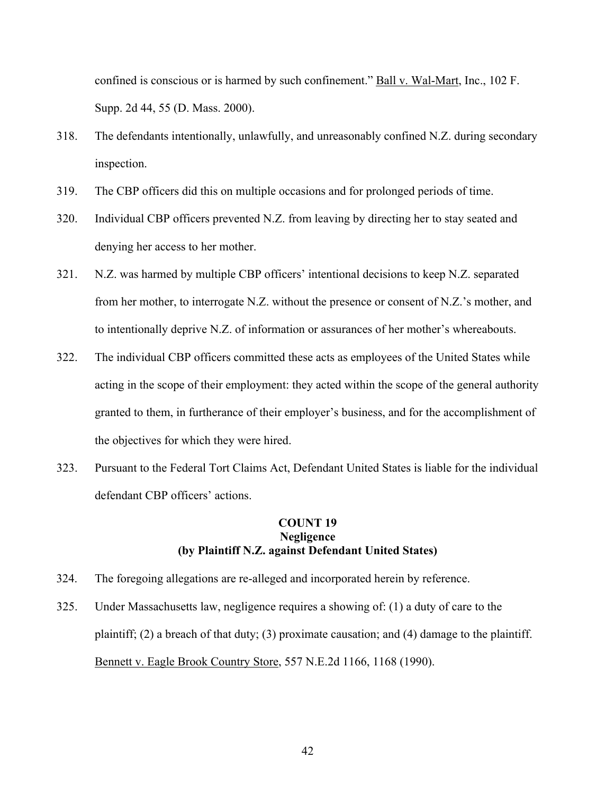confined is conscious or is harmed by such confinement." Ball v. Wal-Mart, Inc., 102 F. Supp. 2d 44, 55 (D. Mass. 2000).

- 318. The defendants intentionally, unlawfully, and unreasonably confined N.Z. during secondary inspection.
- 319. The CBP officers did this on multiple occasions and for prolonged periods of time.
- 320. Individual CBP officers prevented N.Z. from leaving by directing her to stay seated and denying her access to her mother.
- 321. N.Z. was harmed by multiple CBP officers' intentional decisions to keep N.Z. separated from her mother, to interrogate N.Z. without the presence or consent of N.Z.'s mother, and to intentionally deprive N.Z. of information or assurances of her mother's whereabouts.
- 322. The individual CBP officers committed these acts as employees of the United States while acting in the scope of their employment: they acted within the scope of the general authority granted to them, in furtherance of their employer's business, and for the accomplishment of the objectives for which they were hired.
- 323. Pursuant to the Federal Tort Claims Act, Defendant United States is liable for the individual defendant CBP officers' actions.

## **COUNT 19 Negligence (by Plaintiff N.Z. against Defendant United States)**

- 324. The foregoing allegations are re-alleged and incorporated herein by reference.
- 325. Under Massachusetts law, negligence requires a showing of: (1) a duty of care to the plaintiff; (2) a breach of that duty; (3) proximate causation; and (4) damage to the plaintiff. Bennett v. Eagle Brook Country Store, 557 N.E.2d 1166, 1168 (1990).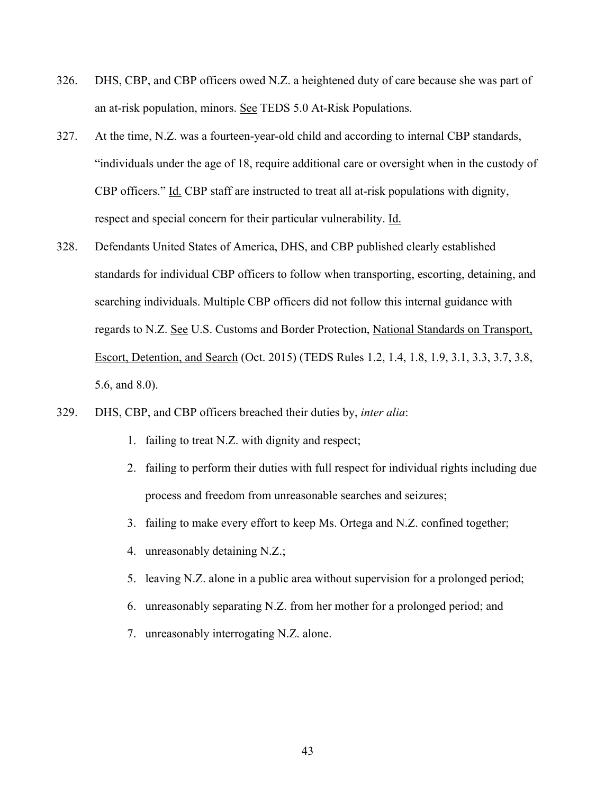- 326. DHS, CBP, and CBP officers owed N.Z. a heightened duty of care because she was part of an at-risk population, minors. See TEDS 5.0 At-Risk Populations.
- 327. At the time, N.Z. was a fourteen-year-old child and according to internal CBP standards, "individuals under the age of 18, require additional care or oversight when in the custody of CBP officers." Id. CBP staff are instructed to treat all at-risk populations with dignity, respect and special concern for their particular vulnerability. Id.
- 328. Defendants United States of America, DHS, and CBP published clearly established standards for individual CBP officers to follow when transporting, escorting, detaining, and searching individuals. Multiple CBP officers did not follow this internal guidance with regards to N.Z. See U.S. Customs and Border Protection, National Standards on Transport, Escort, Detention, and Search (Oct. 2015) (TEDS Rules 1.2, 1.4, 1.8, 1.9, 3.1, 3.3, 3.7, 3.8, 5.6, and 8.0).
- 329. DHS, CBP, and CBP officers breached their duties by, *inter alia*:
	- 1. failing to treat N.Z. with dignity and respect;
	- 2. failing to perform their duties with full respect for individual rights including due process and freedom from unreasonable searches and seizures;
	- 3. failing to make every effort to keep Ms. Ortega and N.Z. confined together;
	- 4. unreasonably detaining N.Z.;
	- 5. leaving N.Z. alone in a public area without supervision for a prolonged period;
	- 6. unreasonably separating N.Z. from her mother for a prolonged period; and
	- 7. unreasonably interrogating N.Z. alone.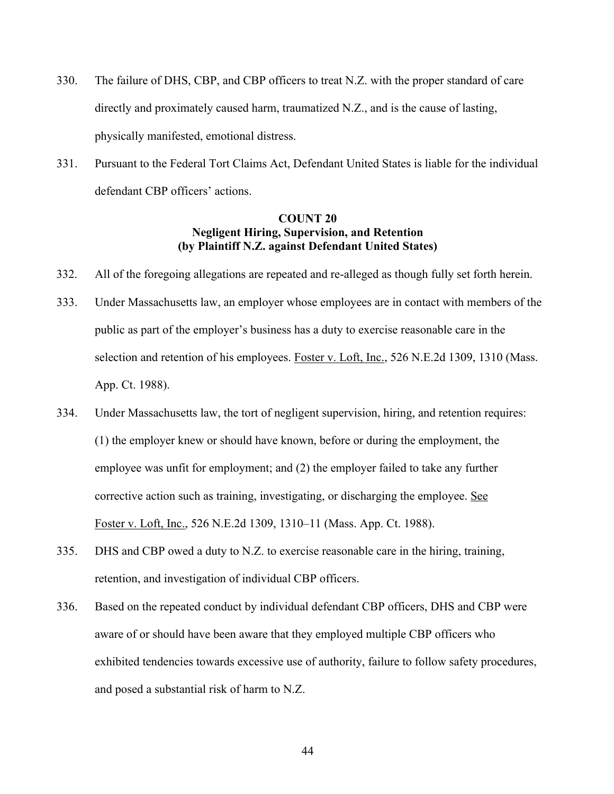- 330. The failure of DHS, CBP, and CBP officers to treat N.Z. with the proper standard of care directly and proximately caused harm, traumatized N.Z., and is the cause of lasting, physically manifested, emotional distress.
- 331. Pursuant to the Federal Tort Claims Act, Defendant United States is liable for the individual defendant CBP officers' actions.

## **COUNT 20 Negligent Hiring, Supervision, and Retention (by Plaintiff N.Z. against Defendant United States)**

- 332. All of the foregoing allegations are repeated and re-alleged as though fully set forth herein.
- 333. Under Massachusetts law, an employer whose employees are in contact with members of the public as part of the employer's business has a duty to exercise reasonable care in the selection and retention of his employees. Foster v. Loft, Inc., 526 N.E.2d 1309, 1310 (Mass. App. Ct. 1988).
- 334. Under Massachusetts law, the tort of negligent supervision, hiring, and retention requires: (1) the employer knew or should have known, before or during the employment, the employee was unfit for employment; and (2) the employer failed to take any further corrective action such as training, investigating, or discharging the employee. See Foster v. Loft, Inc., 526 N.E.2d 1309, 1310–11 (Mass. App. Ct. 1988).
- 335. DHS and CBP owed a duty to N.Z. to exercise reasonable care in the hiring, training, retention, and investigation of individual CBP officers.
- 336. Based on the repeated conduct by individual defendant CBP officers, DHS and CBP were aware of or should have been aware that they employed multiple CBP officers who exhibited tendencies towards excessive use of authority, failure to follow safety procedures, and posed a substantial risk of harm to N.Z.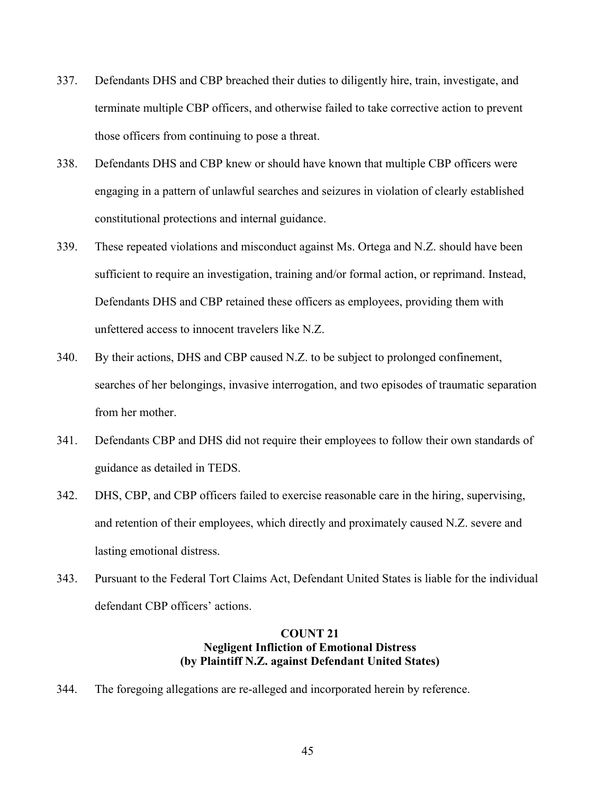- 337. Defendants DHS and CBP breached their duties to diligently hire, train, investigate, and terminate multiple CBP officers, and otherwise failed to take corrective action to prevent those officers from continuing to pose a threat.
- 338. Defendants DHS and CBP knew or should have known that multiple CBP officers were engaging in a pattern of unlawful searches and seizures in violation of clearly established constitutional protections and internal guidance.
- 339. These repeated violations and misconduct against Ms. Ortega and N.Z. should have been sufficient to require an investigation, training and/or formal action, or reprimand. Instead, Defendants DHS and CBP retained these officers as employees, providing them with unfettered access to innocent travelers like N.Z.
- 340. By their actions, DHS and CBP caused N.Z. to be subject to prolonged confinement, searches of her belongings, invasive interrogation, and two episodes of traumatic separation from her mother.
- 341. Defendants CBP and DHS did not require their employees to follow their own standards of guidance as detailed in TEDS.
- 342. DHS, CBP, and CBP officers failed to exercise reasonable care in the hiring, supervising, and retention of their employees, which directly and proximately caused N.Z. severe and lasting emotional distress.
- 343. Pursuant to the Federal Tort Claims Act, Defendant United States is liable for the individual defendant CBP officers' actions.

## **COUNT 21 Negligent Infliction of Emotional Distress (by Plaintiff N.Z. against Defendant United States)**

344. The foregoing allegations are re-alleged and incorporated herein by reference.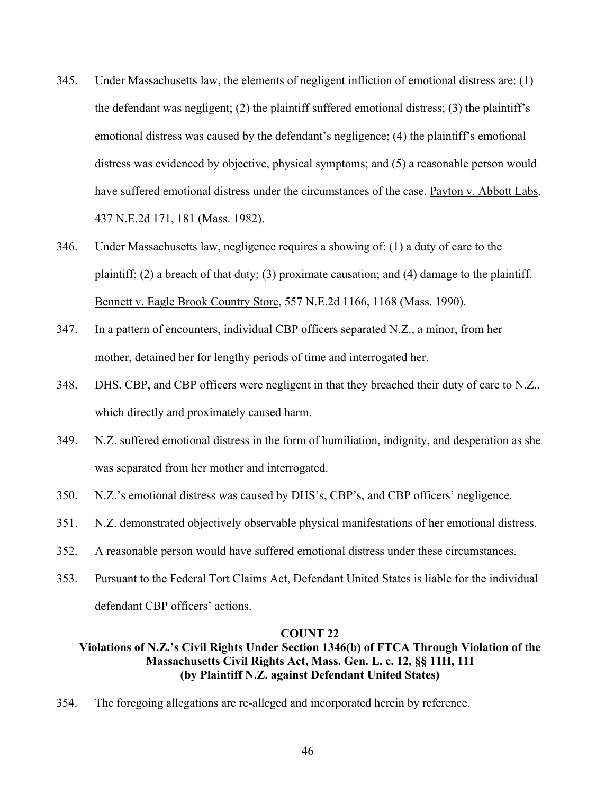- 345. Under Massachusetts law, the elements of negligent infliction of emotional distress are: (1) the defendant was negligent; (2) the plaintiff suffered emotional distress; (3) the plaintiff's emotional distress was caused by the defendant's negligence; (4) the plaintiff's emotional distress was evidenced by objective, physical symptoms; and (5) a reasonable person would have suffered emotional distress under the circumstances of the case. Payton v. Abbott Labs, 437 N.E.2d 171, 181 (Mass. 1982).
- 346. Under Massachusetts law, negligence requires a showing of: (1) a duty of care to the plaintiff; (2) a breach of that duty; (3) proximate causation; and (4) damage to the plaintiff. Bennett v. Eagle Brook Country Store, 557 N.E.2d 1166, 1168 (Mass. 1990).
- 347. In a pattern of encounters, individual CBP officers separated N.Z., a minor, from her mother, detained her for lengthy periods of time and interrogated her.
- 348. DHS, CBP, and CBP officers were negligent in that they breached their duty of care to N.Z., which directly and proximately caused harm.
- 349. N.Z. suffered emotional distress in the form of humiliation, indignity, and desperation as she was separated from her mother and interrogated.
- 350. N.Z.'s emotional distress was caused by DHS's, CBP's, and CBP officers' negligence.
- 351. N.Z. demonstrated objectively observable physical manifestations of her emotional distress.
- 352. A reasonable person would have suffered emotional distress under these circumstances.
- 353. Pursuant to the Federal Tort Claims Act, Defendant United States is liable for the individual defendant CBP officers' actions.

#### **COUNT 22**

## **Violations of N.Z.'s Civil Rights Under Section 1346(b) of FTCA Through Violation of the Massachusetts Civil Rights Act, Mass. Gen. L. c. 12, §§ 11H, 11I (by Plaintiff N.Z. against Defendant United States)**

354. The foregoing allegations are re-alleged and incorporated herein by reference.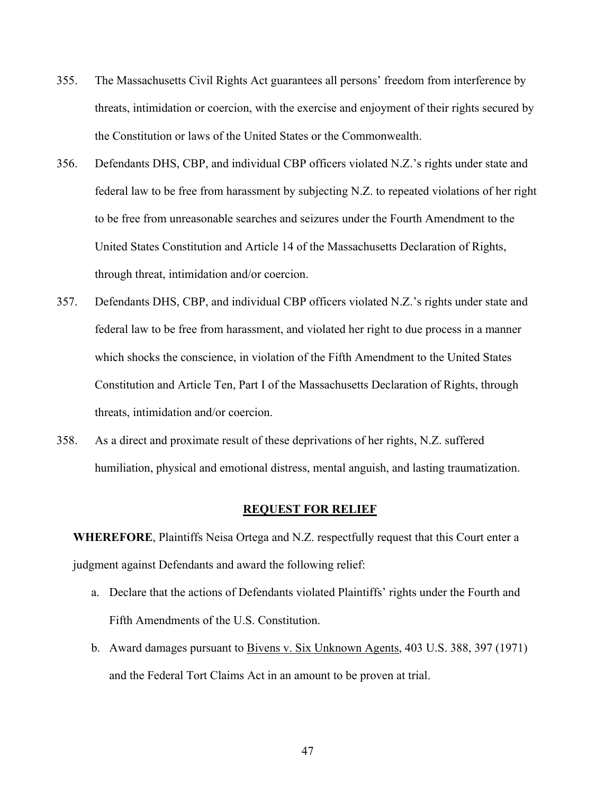- 355. The Massachusetts Civil Rights Act guarantees all persons' freedom from interference by threats, intimidation or coercion, with the exercise and enjoyment of their rights secured by the Constitution or laws of the United States or the Commonwealth.
- 356. Defendants DHS, CBP, and individual CBP officers violated N.Z.'s rights under state and federal law to be free from harassment by subjecting N.Z. to repeated violations of her right to be free from unreasonable searches and seizures under the Fourth Amendment to the United States Constitution and Article 14 of the Massachusetts Declaration of Rights, through threat, intimidation and/or coercion.
- 357. Defendants DHS, CBP, and individual CBP officers violated N.Z.'s rights under state and federal law to be free from harassment, and violated her right to due process in a manner which shocks the conscience, in violation of the Fifth Amendment to the United States Constitution and Article Ten, Part I of the Massachusetts Declaration of Rights, through threats, intimidation and/or coercion.
- 358. As a direct and proximate result of these deprivations of her rights, N.Z. suffered humiliation, physical and emotional distress, mental anguish, and lasting traumatization.

#### **REQUEST FOR RELIEF**

**WHEREFORE**, Plaintiffs Neisa Ortega and N.Z. respectfully request that this Court enter a judgment against Defendants and award the following relief:

- a. Declare that the actions of Defendants violated Plaintiffs' rights under the Fourth and Fifth Amendments of the U.S. Constitution.
- b. Award damages pursuant to Bivens v. Six Unknown Agents, 403 U.S. 388, 397 (1971) and the Federal Tort Claims Act in an amount to be proven at trial.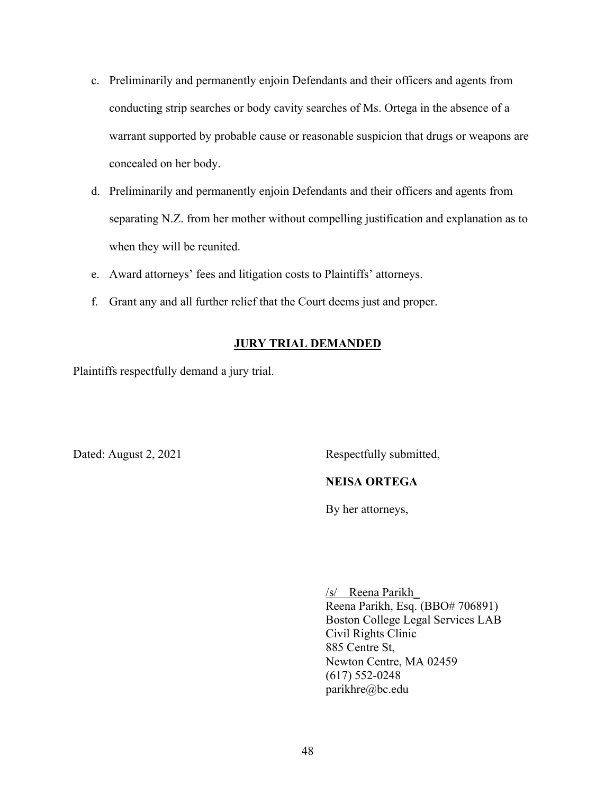- c. Preliminarily and permanently enjoin Defendants and their officers and agents from conducting strip searches or body cavity searches of Ms. Ortega in the absence of a warrant supported by probable cause or reasonable suspicion that drugs or weapons are concealed on her body.
- d. Preliminarily and permanently enjoin Defendants and their officers and agents from separating N.Z. from her mother without compelling justification and explanation as to when they will be reunited.
- e. Award attorneys' fees and litigation costs to Plaintiffs' attorneys.
- f. Grant any and all further relief that the Court deems just and proper.

### **JURY TRIAL DEMANDED**

Plaintiffs respectfully demand a jury trial.

Dated: August 2, 2021 Respectfully submitted,

# **NEISA ORTEGA**

By her attorneys,

/s/ Reena Parikh\_ Reena Parikh, Esq. (BBO# 706891) Boston College Legal Services LAB Civil Rights Clinic 885 Centre St, Newton Centre, MA 02459 (617) 552-0248 parikhre@bc.edu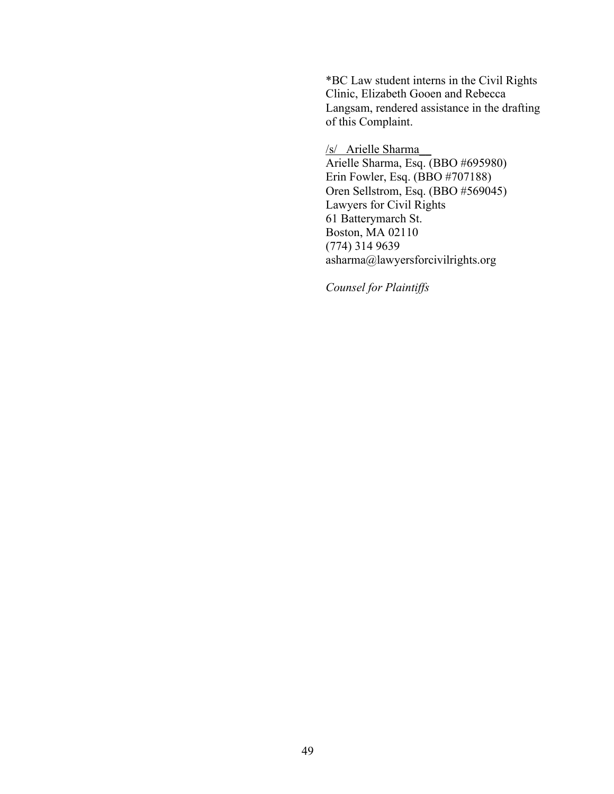\*BC Law student interns in the Civil Rights Clinic, Elizabeth Gooen and Rebecca Langsam, rendered assistance in the drafting of this Complaint.

/s/ Arielle Sharma\_\_ Arielle Sharma, Esq. (BBO #695980) Erin Fowler, Esq. (BBO #707188) Oren Sellstrom, Esq. (BBO #569045) Lawyers for Civil Rights 61 Batterymarch St. Boston, MA 02110 (774) 314 9639 asharma@lawyersforcivilrights.org

*Counsel for Plaintiffs*